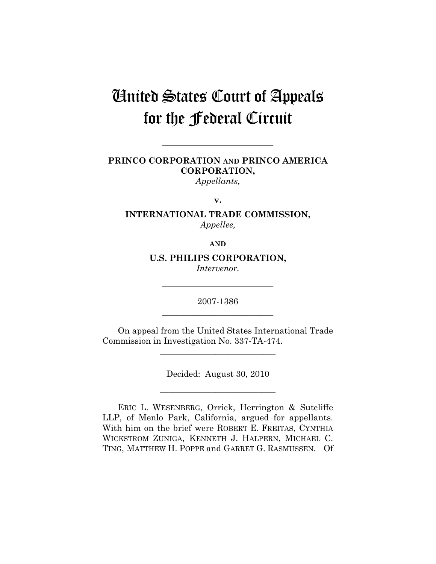# United States Court of Appeals for the Federal Circuit

# **PRINCO CORPORATION AND PRINCO AMERICA CORPORATION,**

**\_\_\_\_\_\_\_\_\_\_\_\_\_\_\_\_\_\_\_\_\_\_\_\_\_\_** 

*Appellants,* 

**v.** 

**INTERNATIONAL TRADE COMMISSION,**  *Appellee,* 

**AND**

**U.S. PHILIPS CORPORATION,** 

*Intervenor.*  **\_\_\_\_\_\_\_\_\_\_\_\_\_\_\_\_\_\_\_\_\_\_\_\_\_\_** 

2007-1386 **\_\_\_\_\_\_\_\_\_\_\_\_\_\_\_\_\_\_\_\_\_\_\_\_\_\_** 

On appeal from the United States International Trade Commission in Investigation No. 337-TA-474.

**\_\_\_\_\_\_\_\_\_\_\_\_\_\_\_\_\_\_\_\_\_\_\_\_\_\_\_** 

Decided: August 30, 2010

**\_\_\_\_\_\_\_\_\_\_\_\_\_\_\_\_\_\_\_\_\_\_\_\_\_\_\_** 

ERIC L. WESENBERG, Orrick, Herrington & Sutcliffe LLP, of Menlo Park, California, argued for appellants. With him on the brief were ROBERT E. FREITAS, CYNTHIA WICKSTROM ZUNIGA, KENNETH J. HALPERN, MICHAEL C. TING, MATTHEW H. POPPE and GARRET G. RASMUSSEN. Of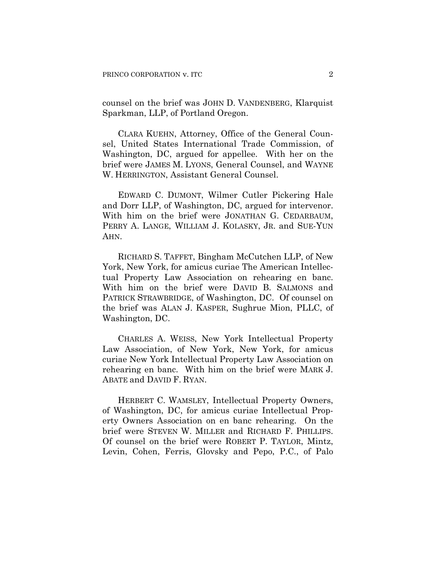counsel on the brief was JOHN D. VANDENBERG, Klarquist Sparkman, LLP, of Portland Oregon.

CLARA KUEHN, Attorney, Office of the General Counsel, United States International Trade Commission, of Washington, DC, argued for appellee. With her on the brief were JAMES M. LYONS, General Counsel, and WAYNE W. HERRINGTON, Assistant General Counsel.

EDWARD C. DUMONT, Wilmer Cutler Pickering Hale and Dorr LLP, of Washington, DC, argued for intervenor. With him on the brief were JONATHAN G. CEDARBAUM, PERRY A. LANGE, WILLIAM J. KOLASKY, JR. and SUE-YUN AHN.

RICHARD S. TAFFET, Bingham McCutchen LLP, of New York, New York, for amicus curiae The American Intellectual Property Law Association on rehearing en banc. With him on the brief were DAVID B. SALMONS and PATRICK STRAWBRIDGE, of Washington, DC. Of counsel on the brief was ALAN J. KASPER, Sughrue Mion, PLLC, of Washington, DC.

CHARLES A. WEISS, New York Intellectual Property Law Association, of New York, New York, for amicus curiae New York Intellectual Property Law Association on rehearing en banc. With him on the brief were MARK J. ABATE and DAVID F. RYAN.

HERBERT C. WAMSLEY, Intellectual Property Owners, of Washington, DC, for amicus curiae Intellectual Property Owners Association on en banc rehearing. On the brief were STEVEN W. MILLER and RICHARD F. PHILLIPS. Of counsel on the brief were ROBERT P. TAYLOR, Mintz, Levin, Cohen, Ferris, Glovsky and Pepo, P.C., of Palo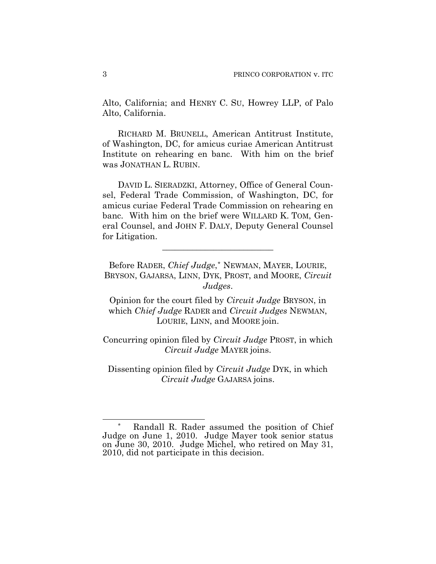Alto, California; and HENRY C. SU, Howrey LLP, of Palo Alto, California.

RICHARD M. BRUNELL, American Antitrust Institute, of Washington, DC, for amicus curiae American Antitrust Institute on rehearing en banc. With him on the brief was JONATHAN L. RUBIN.

DAVID L. SIERADZKI, Attorney, Office of General Counsel, Federal Trade Commission, of Washington, DC, for amicus curiae Federal Trade Commission on rehearing en banc. With him on the brief were WILLARD K. TOM, General Counsel, and JOHN F. DALY, Deputy General Counsel for Litigation.

Before RADER, *Chief Judge*,[\\*](#page-2-0) NEWMAN, MAYER, LOURIE, BRYSON, GAJARSA, LINN, DYK, PROST, and MOORE, *Circuit Judges*.

**\_\_\_\_\_\_\_\_\_\_\_\_\_\_\_\_\_\_\_\_\_\_\_\_\_\_** 

Opinion for the court filed by *Circuit Judge* BRYSON, in which *Chief Judge* RADER and *Circuit Judges* NEWMAN, LOURIE, LINN, and MOORE join.

Concurring opinion filed by *Circuit Judge* PROST, in which *Circuit Judge* MAYER joins.

Dissenting opinion filed by *Circuit Judge* DYK, in which *Circuit Judge* GAJARSA joins.

<span id="page-2-0"></span> $\overline{a}$ Randall R. Rader assumed the position of Chief Judge on June 1, 2010. Judge Mayer took senior status on June 30, 2010. Judge Michel, who retired on May 31, 2010, did not participate in this decision.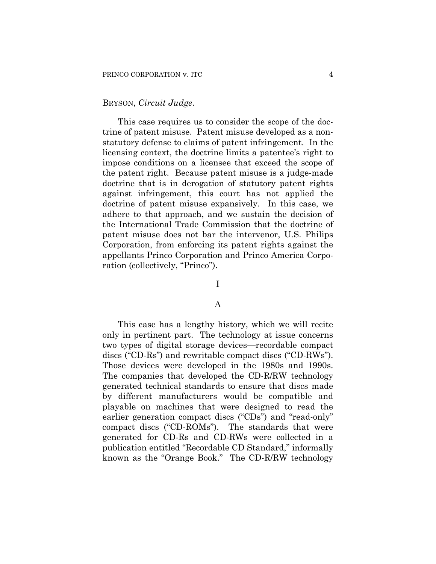## BRYSON, *Circuit Judge*.

This case requires us to consider the scope of the doctrine of patent misuse. Patent misuse developed as a nonstatutory defense to claims of patent infringement. In the licensing context, the doctrine limits a patentee's right to impose conditions on a licensee that exceed the scope of the patent right. Because patent misuse is a judge-made doctrine that is in derogation of statutory patent rights against infringement, this court has not applied the doctrine of patent misuse expansively. In this case, we adhere to that approach, and we sustain the decision of the International Trade Commission that the doctrine of patent misuse does not bar the intervenor, U.S. Philips Corporation, from enforcing its patent rights against the appellants Princo Corporation and Princo America Corporation (collectively, "Princo").

#### I

#### A

This case has a lengthy history, which we will recite only in pertinent part. The technology at issue concerns two types of digital storage devices—recordable compact discs ("CD-Rs") and rewritable compact discs ("CD-RWs"). Those devices were developed in the 1980s and 1990s. The companies that developed the CD-R/RW technology generated technical standards to ensure that discs made by different manufacturers would be compatible and playable on machines that were designed to read the earlier generation compact discs ("CDs") and "read-only" compact discs ("CD-ROMs"). The standards that were generated for CD-Rs and CD-RWs were collected in a publication entitled "Recordable CD Standard," informally known as the "Orange Book." The CD-R/RW technology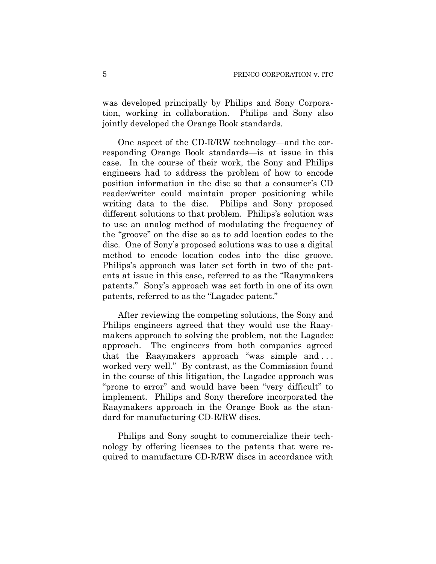was developed principally by Philips and Sony Corporation, working in collaboration. Philips and Sony also jointly developed the Orange Book standards.

One aspect of the CD-R/RW technology—and the corresponding Orange Book standards—is at issue in this case. In the course of their work, the Sony and Philips engineers had to address the problem of how to encode position information in the disc so that a consumer's CD reader/writer could maintain proper positioning while writing data to the disc. Philips and Sony proposed different solutions to that problem. Philips's solution was to use an analog method of modulating the frequency of the "groove" on the disc so as to add location codes to the disc. One of Sony's proposed solutions was to use a digital method to encode location codes into the disc groove. Philips's approach was later set forth in two of the patents at issue in this case, referred to as the "Raaymakers patents." Sony's approach was set forth in one of its own patents, referred to as the "Lagadec patent."

After reviewing the competing solutions, the Sony and Philips engineers agreed that they would use the Raaymakers approach to solving the problem, not the Lagadec approach. The engineers from both companies agreed that the Raaymakers approach "was simple and . . . worked very well." By contrast, as the Commission found in the course of this litigation, the Lagadec approach was "prone to error" and would have been "very difficult" to implement. Philips and Sony therefore incorporated the Raaymakers approach in the Orange Book as the standard for manufacturing CD-R/RW discs.

Philips and Sony sought to commercialize their technology by offering licenses to the patents that were required to manufacture CD-R/RW discs in accordance with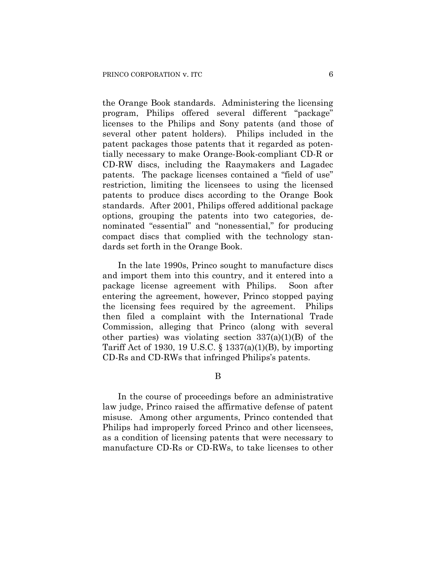the Orange Book standards. Administering the licensing program, Philips offered several different "package" licenses to the Philips and Sony patents (and those of several other patent holders). Philips included in the patent packages those patents that it regarded as potentially necessary to make Orange-Book-compliant CD-R or CD-RW discs, including the Raaymakers and Lagadec patents. The package licenses contained a "field of use" restriction, limiting the licensees to using the licensed patents to produce discs according to the Orange Book standards. After 2001, Philips offered additional package options, grouping the patents into two categories, denominated "essential" and "nonessential," for producing compact discs that complied with the technology standards set forth in the Orange Book.

In the late 1990s, Princo sought to manufacture discs and import them into this country, and it entered into a package license agreement with Philips. Soon after entering the agreement, however, Princo stopped paying the licensing fees required by the agreement. Philips then filed a complaint with the International Trade Commission, alleging that Princo (along with several other parties) was violating section  $337(a)(1)(B)$  of the Tariff Act of 1930, 19 U.S.C. § 1337(a)(1)(B), by importing CD-Rs and CD-RWs that infringed Philips's patents.

B

In the course of proceedings before an administrative law judge, Princo raised the affirmative defense of patent misuse. Among other arguments, Princo contended that Philips had improperly forced Princo and other licensees, as a condition of licensing patents that were necessary to manufacture CD-Rs or CD-RWs, to take licenses to other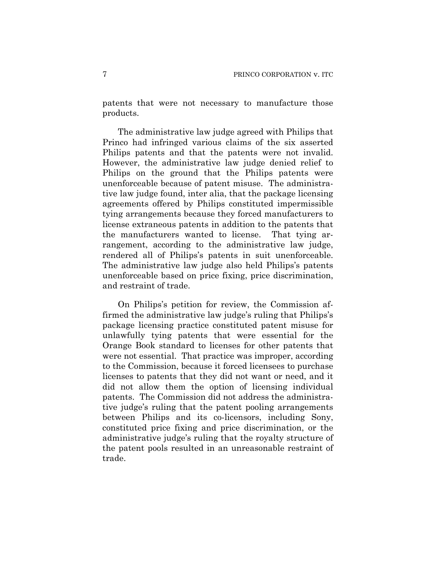patents that were not necessary to manufacture those products.

The administrative law judge agreed with Philips that Princo had infringed various claims of the six asserted Philips patents and that the patents were not invalid. However, the administrative law judge denied relief to Philips on the ground that the Philips patents were unenforceable because of patent misuse. The administrative law judge found, inter alia, that the package licensing agreements offered by Philips constituted impermissible tying arrangements because they forced manufacturers to license extraneous patents in addition to the patents that the manufacturers wanted to license. That tying arrangement, according to the administrative law judge, rendered all of Philips's patents in suit unenforceable. The administrative law judge also held Philips's patents unenforceable based on price fixing, price discrimination, and restraint of trade.

On Philips's petition for review, the Commission affirmed the administrative law judge's ruling that Philips's package licensing practice constituted patent misuse for unlawfully tying patents that were essential for the Orange Book standard to licenses for other patents that were not essential. That practice was improper, according to the Commission, because it forced licensees to purchase licenses to patents that they did not want or need, and it did not allow them the option of licensing individual patents. The Commission did not address the administrative judge's ruling that the patent pooling arrangements between Philips and its co-licensors, including Sony, constituted price fixing and price discrimination, or the administrative judge's ruling that the royalty structure of the patent pools resulted in an unreasonable restraint of trade.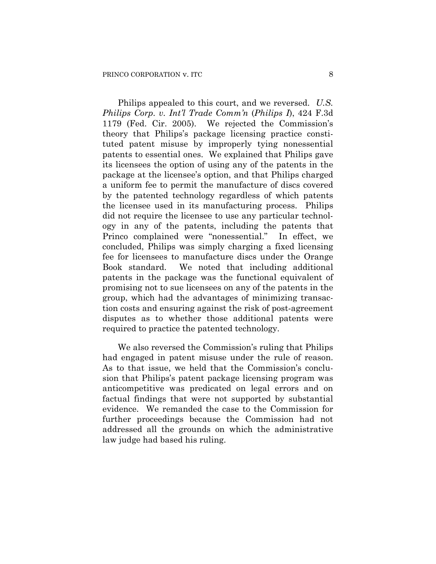Philips appealed to this court, and we reversed. *U.S. Philips Corp. v. Int'l Trade Comm'n* (*Philips I*), 424 F.3d 1179 (Fed. Cir. 2005). We rejected the Commission's theory that Philips's package licensing practice constituted patent misuse by improperly tying nonessential patents to essential ones. We explained that Philips gave its licensees the option of using any of the patents in the package at the licensee's option, and that Philips charged a uniform fee to permit the manufacture of discs covered by the patented technology regardless of which patents the licensee used in its manufacturing process. Philips did not require the licensee to use any particular technology in any of the patents, including the patents that Princo complained were "nonessential." In effect, we concluded, Philips was simply charging a fixed licensing fee for licensees to manufacture discs under the Orange Book standard. We noted that including additional patents in the package was the functional equivalent of promising not to sue licensees on any of the patents in the group, which had the advantages of minimizing transaction costs and ensuring against the risk of post-agreement disputes as to whether those additional patents were required to practice the patented technology.

We also reversed the Commission's ruling that Philips had engaged in patent misuse under the rule of reason. As to that issue, we held that the Commission's conclusion that Philips's patent package licensing program was anticompetitive was predicated on legal errors and on factual findings that were not supported by substantial evidence. We remanded the case to the Commission for further proceedings because the Commission had not addressed all the grounds on which the administrative law judge had based his ruling.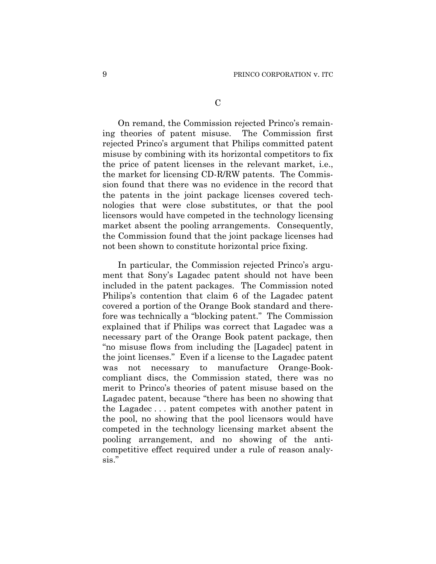On remand, the Commission rejected Princo's remaining theories of patent misuse. The Commission first rejected Princo's argument that Philips committed patent misuse by combining with its horizontal competitors to fix the price of patent licenses in the relevant market, i.e., the market for licensing CD-R/RW patents. The Commission found that there was no evidence in the record that the patents in the joint package licenses covered technologies that were close substitutes, or that the pool licensors would have competed in the technology licensing market absent the pooling arrangements. Consequently, the Commission found that the joint package licenses had not been shown to constitute horizontal price fixing.

In particular, the Commission rejected Princo's argument that Sony's Lagadec patent should not have been included in the patent packages. The Commission noted Philips's contention that claim 6 of the Lagadec patent covered a portion of the Orange Book standard and therefore was technically a "blocking patent." The Commission explained that if Philips was correct that Lagadec was a necessary part of the Orange Book patent package, then "no misuse flows from including the [Lagadec] patent in the joint licenses." Even if a license to the Lagadec patent was not necessary to manufacture Orange-Bookcompliant discs, the Commission stated, there was no merit to Princo's theories of patent misuse based on the Lagadec patent, because "there has been no showing that the Lagadec . . . patent competes with another patent in the pool, no showing that the pool licensors would have competed in the technology licensing market absent the pooling arrangement, and no showing of the anticompetitive effect required under a rule of reason analysis."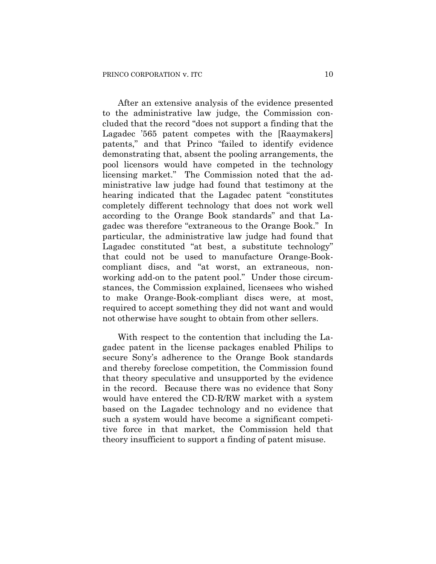After an extensive analysis of the evidence presented to the administrative law judge, the Commission concluded that the record "does not support a finding that the Lagadec '565 patent competes with the [Raaymakers] patents," and that Princo "failed to identify evidence demonstrating that, absent the pooling arrangements, the pool licensors would have competed in the technology licensing market." The Commission noted that the administrative law judge had found that testimony at the hearing indicated that the Lagadec patent "constitutes completely different technology that does not work well according to the Orange Book standards" and that Lagadec was therefore "extraneous to the Orange Book." In particular, the administrative law judge had found that Lagadec constituted "at best, a substitute technology" that could not be used to manufacture Orange-Bookcompliant discs, and "at worst, an extraneous, nonworking add-on to the patent pool." Under those circumstances, the Commission explained, licensees who wished to make Orange-Book-compliant discs were, at most, required to accept something they did not want and would not otherwise have sought to obtain from other sellers.

With respect to the contention that including the Lagadec patent in the license packages enabled Philips to secure Sony's adherence to the Orange Book standards and thereby foreclose competition, the Commission found that theory speculative and unsupported by the evidence in the record. Because there was no evidence that Sony would have entered the CD-R/RW market with a system based on the Lagadec technology and no evidence that such a system would have become a significant competitive force in that market, the Commission held that theory insufficient to support a finding of patent misuse.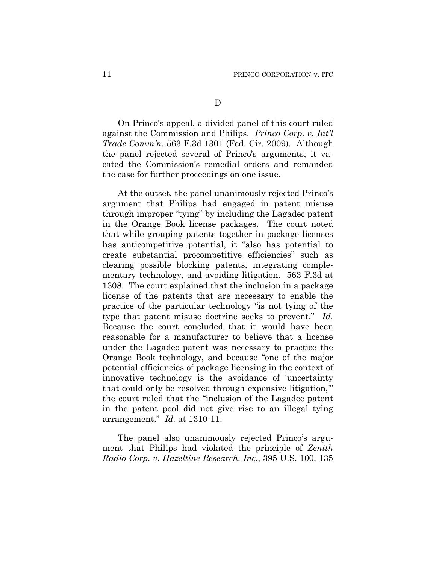D

On Princo's appeal, a divided panel of this court ruled against the Commission and Philips. *Princo Corp. v. Int'l Trade Comm'n*, 563 F.3d 1301 (Fed. Cir. 2009). Although the panel rejected several of Princo's arguments, it vacated the Commission's remedial orders and remanded the case for further proceedings on one issue.

At the outset, the panel unanimously rejected Princo's argument that Philips had engaged in patent misuse through improper "tying" by including the Lagadec patent in the Orange Book license packages. The court noted that while grouping patents together in package licenses has anticompetitive potential, it "also has potential to create substantial procompetitive efficiencies" such as clearing possible blocking patents, integrating complementary technology, and avoiding litigation. 563 F.3d at 1308. The court explained that the inclusion in a package license of the patents that are necessary to enable the practice of the particular technology "is not tying of the type that patent misuse doctrine seeks to prevent." *Id.* Because the court concluded that it would have been reasonable for a manufacturer to believe that a license under the Lagadec patent was necessary to practice the Orange Book technology, and because "one of the major potential efficiencies of package licensing in the context of innovative technology is the avoidance of 'uncertainty that could only be resolved through expensive litigation,'" the court ruled that the "inclusion of the Lagadec patent in the patent pool did not give rise to an illegal tying arrangement." *Id.* at 1310-11.

The panel also unanimously rejected Princo's argument that Philips had violated the principle of *Zenith Radio Corp. v. Hazeltine Research, Inc.*, 395 U.S. 100, 135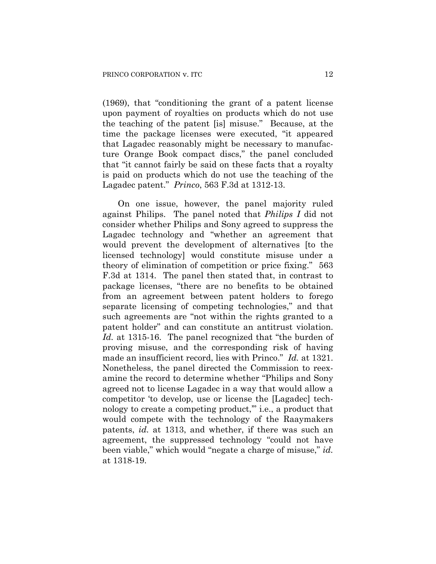(1969), that "conditioning the grant of a patent license upon payment of royalties on products which do not use the teaching of the patent [is] misuse." Because, at the time the package licenses were executed, "it appeared that Lagadec reasonably might be necessary to manufacture Orange Book compact discs," the panel concluded that "it cannot fairly be said on these facts that a royalty is paid on products which do not use the teaching of the Lagadec patent." *Princo*, 563 F.3d at 1312-13.

On one issue, however, the panel majority ruled against Philips. The panel noted that *Philips I* did not consider whether Philips and Sony agreed to suppress the Lagadec technology and "whether an agreement that would prevent the development of alternatives [to the licensed technology] would constitute misuse under a theory of elimination of competition or price fixing." 563 F.3d at 1314. The panel then stated that, in contrast to package licenses, "there are no benefits to be obtained from an agreement between patent holders to forego separate licensing of competing technologies," and that such agreements are "not within the rights granted to a patent holder" and can constitute an antitrust violation. *Id.* at 1315-16. The panel recognized that "the burden of proving misuse, and the corresponding risk of having made an insufficient record, lies with Princo." *Id.* at 1321. Nonetheless, the panel directed the Commission to reexamine the record to determine whether "Philips and Sony agreed not to license Lagadec in a way that would allow a competitor 'to develop, use or license the [Lagadec] technology to create a competing product,'" i.e., a product that would compete with the technology of the Raaymakers patents, *id.* at 1313, and whether, if there was such an agreement, the suppressed technology "could not have been viable," which would "negate a charge of misuse," *id.* at 1318-19.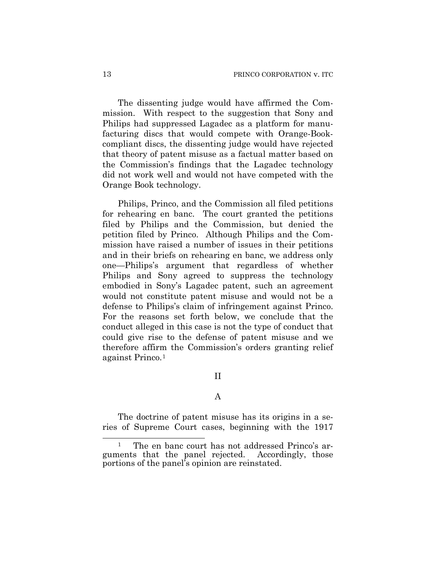The dissenting judge would have affirmed the Commission. With respect to the suggestion that Sony and Philips had suppressed Lagadec as a platform for manufacturing discs that would compete with Orange-Bookcompliant discs, the dissenting judge would have rejected that theory of patent misuse as a factual matter based on the Commission's findings that the Lagadec technology did not work well and would not have competed with the Orange Book technology.

Philips, Princo, and the Commission all filed petitions for rehearing en banc. The court granted the petitions filed by Philips and the Commission, but denied the petition filed by Princo. Although Philips and the Commission have raised a number of issues in their petitions and in their briefs on rehearing en banc, we address only one—Philips's argument that regardless of whether Philips and Sony agreed to suppress the technology embodied in Sony's Lagadec patent, such an agreement would not constitute patent misuse and would not be a defense to Philips's claim of infringement against Princo. For the reasons set forth below, we conclude that the conduct alleged in this case is not the type of conduct that could give rise to the defense of patent misuse and we therefore affirm the Commission's orders granting relief against Princo.[1](#page-12-0)

## II

#### A

The doctrine of patent misuse has its origins in a series of Supreme Court cases, beginning with the 1917

<span id="page-12-0"></span> $\overline{a}$ The en banc court has not addressed Princo's arguments that the panel rejected. Accordingly, those portions of the panel's opinion are reinstated.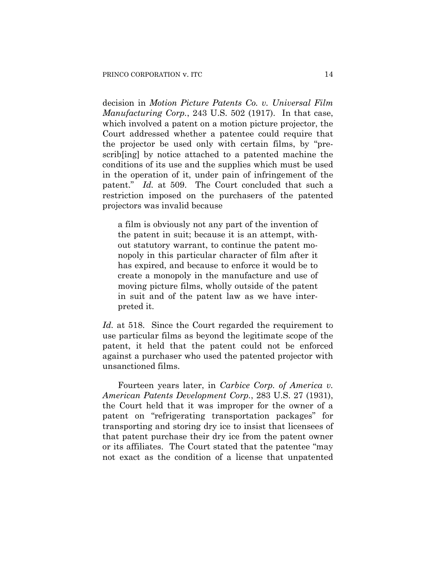decision in *Motion Picture Patents Co. v. Universal Film Manufacturing Corp.*, 243 U.S. 502 (1917). In that case, which involved a patent on a motion picture projector, the Court addressed whether a patentee could require that the projector be used only with certain films, by "prescrib[ing] by notice attached to a patented machine the conditions of its use and the supplies which must be used in the operation of it, under pain of infringement of the patent." *Id.* at 509. The Court concluded that such a restriction imposed on the purchasers of the patented projectors was invalid because

a film is obviously not any part of the invention of the patent in suit; because it is an attempt, without statutory warrant, to continue the patent monopoly in this particular character of film after it has expired, and because to enforce it would be to create a monopoly in the manufacture and use of moving picture films, wholly outside of the patent in suit and of the patent law as we have interpreted it.

*Id.* at 518. Since the Court regarded the requirement to use particular films as beyond the legitimate scope of the patent, it held that the patent could not be enforced against a purchaser who used the patented projector with unsanctioned films.

Fourteen years later, in *Carbice Corp. of America v. American Patents Development Corp.*, 283 U.S. 27 (1931), the Court held that it was improper for the owner of a patent on "refrigerating transportation packages" for transporting and storing dry ice to insist that licensees of that patent purchase their dry ice from the patent owner or its affiliates. The Court stated that the patentee "may not exact as the condition of a license that unpatented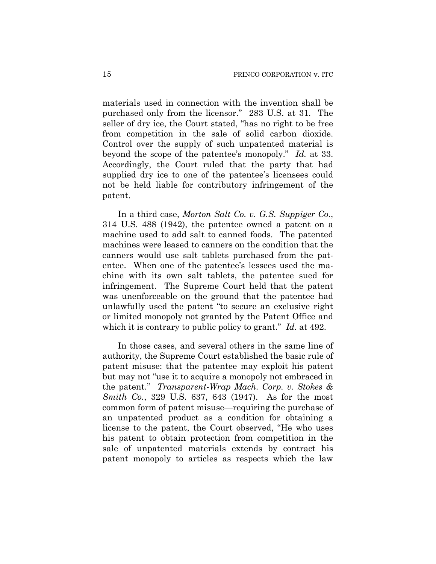materials used in connection with the invention shall be purchased only from the licensor." 283 U.S. at 31. The seller of dry ice, the Court stated, "has no right to be free from competition in the sale of solid carbon dioxide. Control over the supply of such unpatented material is beyond the scope of the patentee's monopoly." *Id.* at 33. Accordingly, the Court ruled that the party that had supplied dry ice to one of the patentee's licensees could not be held liable for contributory infringement of the patent.

In a third case, *Morton Salt Co. v. G.S. Suppiger Co.*, 314 U.S. 488 (1942), the patentee owned a patent on a machine used to add salt to canned foods. The patented machines were leased to canners on the condition that the canners would use salt tablets purchased from the patentee. When one of the patentee's lessees used the machine with its own salt tablets, the patentee sued for infringement. The Supreme Court held that the patent was unenforceable on the ground that the patentee had unlawfully used the patent "to secure an exclusive right or limited monopoly not granted by the Patent Office and which it is contrary to public policy to grant." *Id.* at 492.

In those cases, and several others in the same line of authority, the Supreme Court established the basic rule of patent misuse: that the patentee may exploit his patent but may not "use it to acquire a monopoly not embraced in the patent." *Transparent-Wrap Mach. Corp. v. Stokes & Smith Co.*, 329 U.S. 637, 643 (1947). As for the most common form of patent misuse—requiring the purchase of an unpatented product as a condition for obtaining a license to the patent, the Court observed, "He who uses his patent to obtain protection from competition in the sale of unpatented materials extends by contract his patent monopoly to articles as respects which the law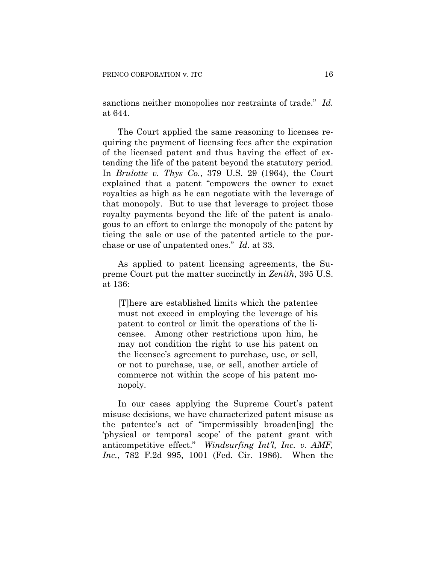sanctions neither monopolies nor restraints of trade." *Id.* at 644.

The Court applied the same reasoning to licenses requiring the payment of licensing fees after the expiration of the licensed patent and thus having the effect of extending the life of the patent beyond the statutory period. In *Brulotte v. Thys Co.*, 379 U.S. 29 (1964), the Court explained that a patent "empowers the owner to exact royalties as high as he can negotiate with the leverage of that monopoly. But to use that leverage to project those royalty payments beyond the life of the patent is analogous to an effort to enlarge the monopoly of the patent by tieing the sale or use of the patented article to the purchase or use of unpatented ones." *Id.* at 33.

As applied to patent licensing agreements, the Supreme Court put the matter succinctly in *Zenith*, 395 U.S. at 136:

[T]here are established limits which the patentee must not exceed in employing the leverage of his patent to control or limit the operations of the licensee. Among other restrictions upon him, he may not condition the right to use his patent on the licensee's agreement to purchase, use, or sell, or not to purchase, use, or sell, another article of commerce not within the scope of his patent monopoly.

In our cases applying the Supreme Court's patent misuse decisions, we have characterized patent misuse as the patentee's act of "impermissibly broaden[ing] the 'physical or temporal scope' of the patent grant with anticompetitive effect." *Windsurfing Int'l, Inc. v. AMF, Inc.*, 782 F.2d 995, 1001 (Fed. Cir. 1986). When the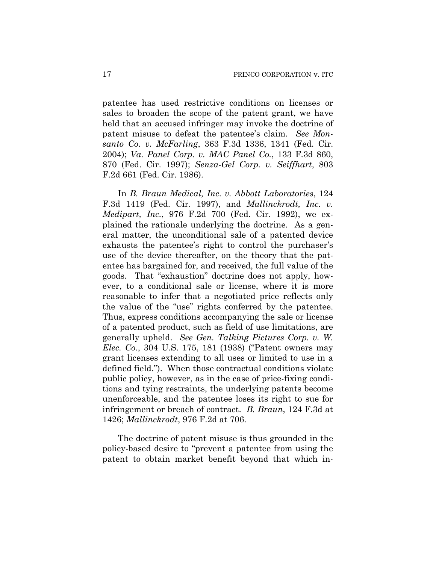patentee has used restrictive conditions on licenses or sales to broaden the scope of the patent grant, we have held that an accused infringer may invoke the doctrine of patent misuse to defeat the patentee's claim. *See Monsanto Co. v. McFarling*, 363 F.3d 1336, 1341 (Fed. Cir. 2004); *Va. Panel Corp. v. MAC Panel Co.*, 133 F.3d 860, 870 (Fed. Cir. 1997); *Senza-Gel Corp. v. Seiffhart*, 803 F.2d 661 (Fed. Cir. 1986).

In *B. Braun Medical, Inc. v. Abbott Laboratories*, 124 F.3d 1419 (Fed. Cir. 1997), and *Mallinckrodt, Inc. v. Medipart, Inc.*, 976 F.2d 700 (Fed. Cir. 1992), we explained the rationale underlying the doctrine. As a general matter, the unconditional sale of a patented device exhausts the patentee's right to control the purchaser's use of the device thereafter, on the theory that the patentee has bargained for, and received, the full value of the goods. That "exhaustion" doctrine does not apply, however, to a conditional sale or license, where it is more reasonable to infer that a negotiated price reflects only the value of the "use" rights conferred by the patentee. Thus, express conditions accompanying the sale or license of a patented product, such as field of use limitations, are generally upheld. *See Gen. Talking Pictures Corp. v. W. Elec. Co.*, 304 U.S. 175, 181 (1938) ("Patent owners may grant licenses extending to all uses or limited to use in a defined field."). When those contractual conditions violate public policy, however, as in the case of price-fixing conditions and tying restraints, the underlying patents become unenforceable, and the patentee loses its right to sue for infringement or breach of contract. *B. Braun*, 124 F.3d at 1426; *Mallinckrodt*, 976 F.2d at 706.

The doctrine of patent misuse is thus grounded in the policy-based desire to "prevent a patentee from using the patent to obtain market benefit beyond that which in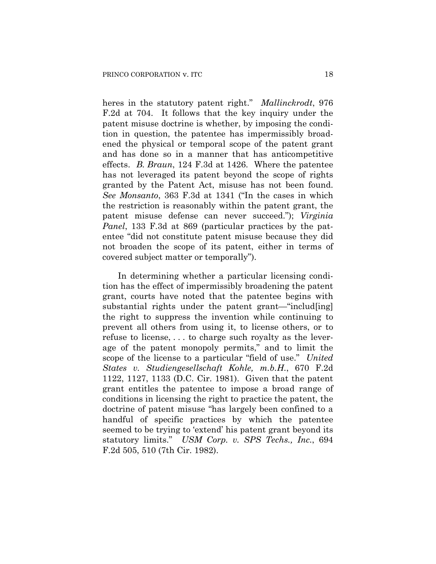heres in the statutory patent right." *Mallinckrodt*, 976 F.2d at 704. It follows that the key inquiry under the patent misuse doctrine is whether, by imposing the condition in question, the patentee has impermissibly broadened the physical or temporal scope of the patent grant and has done so in a manner that has anticompetitive effects. *B. Braun*, 124 F.3d at 1426. Where the patentee has not leveraged its patent beyond the scope of rights granted by the Patent Act, misuse has not been found. *See Monsanto*, 363 F.3d at 1341 ("In the cases in which the restriction is reasonably within the patent grant, the patent misuse defense can never succeed."); *Virginia Panel*, 133 F.3d at 869 (particular practices by the patentee "did not constitute patent misuse because they did not broaden the scope of its patent, either in terms of covered subject matter or temporally").

In determining whether a particular licensing condition has the effect of impermissibly broadening the patent grant, courts have noted that the patentee begins with substantial rights under the patent grant—"includ[ing] the right to suppress the invention while continuing to prevent all others from using it, to license others, or to refuse to license, . . . to charge such royalty as the leverage of the patent monopoly permits," and to limit the scope of the license to a particular "field of use." *United States v. Studiengesellschaft Kohle, m.b.H.*, 670 F.2d 1122, 1127, 1133 (D.C. Cir. 1981). Given that the patent grant entitles the patentee to impose a broad range of conditions in licensing the right to practice the patent, the doctrine of patent misuse "has largely been confined to a handful of specific practices by which the patentee seemed to be trying to 'extend' his patent grant beyond its statutory limits." *USM Corp. v. SPS Techs., Inc.*, 694 F.2d 505, 510 (7th Cir. 1982).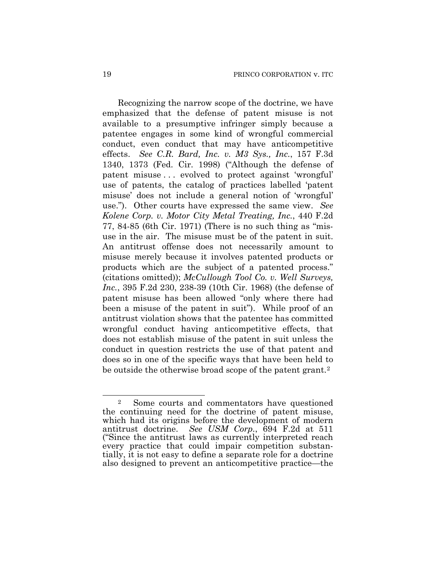Recognizing the narrow scope of the doctrine, we have emphasized that the defense of patent misuse is not available to a presumptive infringer simply because a patentee engages in some kind of wrongful commercial conduct, even conduct that may have anticompetitive effects. *See C.R. Bard, Inc. v. M3 Sys., Inc.*, 157 F.3d 1340, 1373 (Fed. Cir. 1998) ("Although the defense of patent misuse . . . evolved to protect against 'wrongful' use of patents, the catalog of practices labelled 'patent misuse' does not include a general notion of 'wrongful' use."). Other courts have expressed the same view. *See Kolene Corp. v. Motor City Metal Treating, Inc.*, 440 F.2d 77, 84-85 (6th Cir. 1971) (There is no such thing as "misuse in the air. The misuse must be of the patent in suit. An antitrust offense does not necessarily amount to misuse merely because it involves patented products or products which are the subject of a patented process." (citations omitted)); *McCullough Tool Co. v. Well Surveys, Inc.*, 395 F.2d 230, 238-39 (10th Cir. 1968) (the defense of patent misuse has been allowed "only where there had been a misuse of the patent in suit"). While proof of an antitrust violation shows that the patentee has committed wrongful conduct having anticompetitive effects, that does not establish misuse of the patent in suit unless the conduct in question restricts the use of that patent and does so in one of the specific ways that have been held to be outside the otherwise broad scope of the patent grant.<sup>[2](#page-18-0)</sup>

 $\overline{a}$ 

<span id="page-18-0"></span><sup>2</sup> Some courts and commentators have questioned the continuing need for the doctrine of patent misuse, which had its origins before the development of modern antitrust doctrine. *See USM Corp.*, 694 F.2d at 511 ("Since the antitrust laws as currently interpreted reach every practice that could impair competition substantially, it is not easy to define a separate role for a doctrine also designed to prevent an anticompetitive practice—the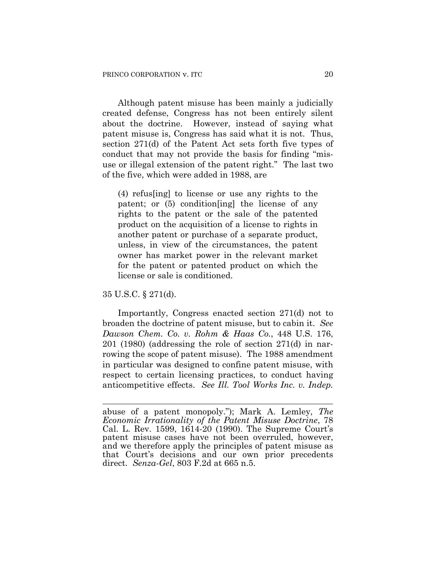Although patent misuse has been mainly a judicially created defense, Congress has not been entirely silent about the doctrine. However, instead of saying what patent misuse is, Congress has said what it is not. Thus, section 271(d) of the Patent Act sets forth five types of conduct that may not provide the basis for finding "misuse or illegal extension of the patent right." The last two of the five, which were added in 1988, are

(4) refus[ing] to license or use any rights to the patent; or (5) condition[ing] the license of any rights to the patent or the sale of the patented product on the acquisition of a license to rights in another patent or purchase of a separate product, unless, in view of the circumstances, the patent owner has market power in the relevant market for the patent or patented product on which the license or sale is conditioned.

35 U.S.C. § 271(d).

Importantly, Congress enacted section 271(d) not to broaden the doctrine of patent misuse, but to cabin it. *See Dawson Chem. Co. v. Rohm & Haas Co.*, 448 U.S. 176, 201 (1980) (addressing the role of section 271(d) in narrowing the scope of patent misuse). The 1988 amendment in particular was designed to confine patent misuse, with respect to certain licensing practices, to conduct having anticompetitive effects. *See Ill. Tool Works Inc. v. Indep.* 

 $\overline{a}$ abuse of a patent monopoly."); Mark A. Lemley, *The Economic Irrationality of the Patent Misuse Doctrine*, 78 Cal. L. Rev. 1599, 1614-20 (1990). The Supreme Court's patent misuse cases have not been overruled, however, and we therefore apply the principles of patent misuse as that Court's decisions and our own prior precedents direct. *Senza-Gel*, 803 F.2d at 665 n.5.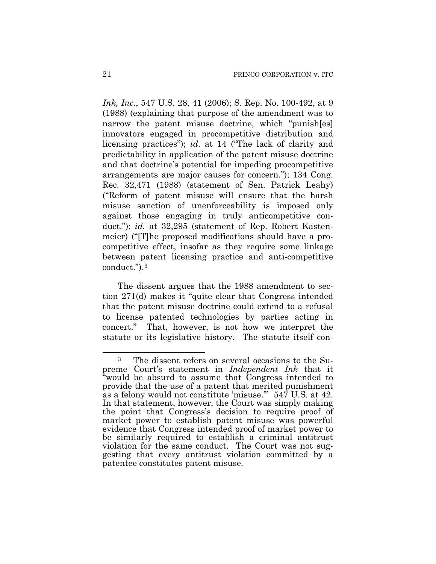*Ink, Inc.*, 547 U.S. 28, 41 (2006); S. Rep. No. 100-492, at 9 (1988) (explaining that purpose of the amendment was to narrow the patent misuse doctrine, which "punish[es] innovators engaged in procompetitive distribution and licensing practices"); *id*. at 14 ("The lack of clarity and predictability in application of the patent misuse doctrine and that doctrine's potential for impeding procompetitive arrangements are major causes for concern."); 134 Cong. Rec. 32,471 (1988) (statement of Sen. Patrick Leahy) ("Reform of patent misuse will ensure that the harsh misuse sanction of unenforceability is imposed only against those engaging in truly anticompetitive conduct."); *id.* at 32,295 (statement of Rep. Robert Kastenmeier) ("[T]he proposed modifications should have a procompetitive effect, insofar as they require some linkage between patent licensing practice and anti-competitive conduct.").[3](#page-20-0)

The dissent argues that the 1988 amendment to section 271(d) makes it "quite clear that Congress intended that the patent misuse doctrine could extend to a refusal to license patented technologies by parties acting in concert." That, however, is not how we interpret the statute or its legislative history. The statute itself con-

 $\overline{a}$ 

<span id="page-20-0"></span><sup>3</sup> The dissent refers on several occasions to the Supreme Court's statement in *Independent Ink* that it "would be absurd to assume that Congress intended to provide that the use of a patent that merited punishment as a felony would not constitute 'misuse.'" 547 U.S. at 42. In that statement, however, the Court was simply making the point that Congress's decision to require proof of market power to establish patent misuse was powerful evidence that Congress intended proof of market power to be similarly required to establish a criminal antitrust violation for the same conduct. The Court was not suggesting that every antitrust violation committed by a patentee constitutes patent misuse.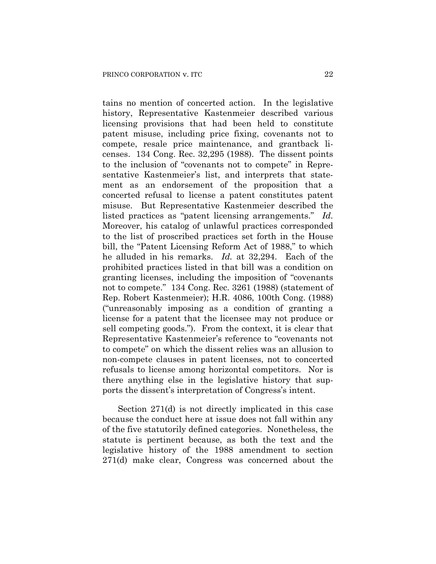tains no mention of concerted action. In the legislative history, Representative Kastenmeier described various licensing provisions that had been held to constitute patent misuse, including price fixing, covenants not to compete, resale price maintenance, and grantback licenses. 134 Cong. Rec. 32,295 (1988). The dissent points to the inclusion of "covenants not to compete" in Representative Kastenmeier's list, and interprets that statement as an endorsement of the proposition that a concerted refusal to license a patent constitutes patent misuse. But Representative Kastenmeier described the listed practices as "patent licensing arrangements." *Id.* Moreover, his catalog of unlawful practices corresponded to the list of proscribed practices set forth in the House bill, the "Patent Licensing Reform Act of 1988," to which he alluded in his remarks. *Id.* at 32,294. Each of the prohibited practices listed in that bill was a condition on granting licenses, including the imposition of "covenants not to compete." 134 Cong. Rec. 3261 (1988) (statement of Rep. Robert Kastenmeier); H.R. 4086, 100th Cong. (1988) ("unreasonably imposing as a condition of granting a license for a patent that the licensee may not produce or sell competing goods."). From the context, it is clear that Representative Kastenmeier's reference to "covenants not to compete" on which the dissent relies was an allusion to non-compete clauses in patent licenses, not to concerted refusals to license among horizontal competitors. Nor is there anything else in the legislative history that supports the dissent's interpretation of Congress's intent.

Section 271(d) is not directly implicated in this case because the conduct here at issue does not fall within any of the five statutorily defined categories. Nonetheless, the statute is pertinent because, as both the text and the legislative history of the 1988 amendment to section 271(d) make clear, Congress was concerned about the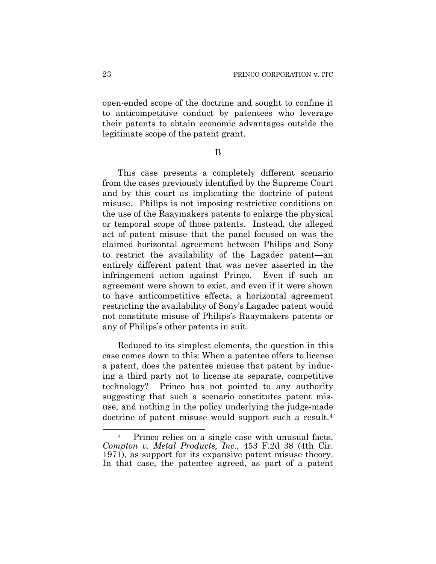open-ended scope of the doctrine and sought to confine it to anticompetitive conduct by patentees who leverage their patents to obtain economic advantages outside the legitimate scope of the patent grant.

B

This case presents a completely different scenario from the cases previously identified by the Supreme Court and by this court as implicating the doctrine of patent misuse. Philips is not imposing restrictive conditions on the use of the Raaymakers patents to enlarge the physical or temporal scope of those patents. Instead, the alleged act of patent misuse that the panel focused on was the claimed horizontal agreement between Philips and Sony to restrict the availability of the Lagadec patent—an entirely different patent that was never asserted in the infringement action against Princo. Even if such an agreement were shown to exist, and even if it were shown to have anticompetitive effects, a horizontal agreement restricting the availability of Sony's Lagadec patent would not constitute misuse of Philips's Raaymakers patents or any of Philips's other patents in suit.

Reduced to its simplest elements, the question in this case comes down to this: When a patentee offers to license a patent, does the patentee misuse that patent by inducing a third party not to license its separate, competitive technology? Princo has not pointed to any authority suggesting that such a scenario constitutes patent misuse, and nothing in the policy underlying the judge-made doctrine of patent misuse would support such a result.[4](#page-22-0)

 $\overline{a}$ 

<span id="page-22-0"></span><sup>4</sup> Princo relies on a single case with unusual facts, *Compton v. Metal Products, Inc.*, 453 F.2d 38 (4th Cir. 1971), as support for its expansive patent misuse theory. In that case, the patentee agreed, as part of a patent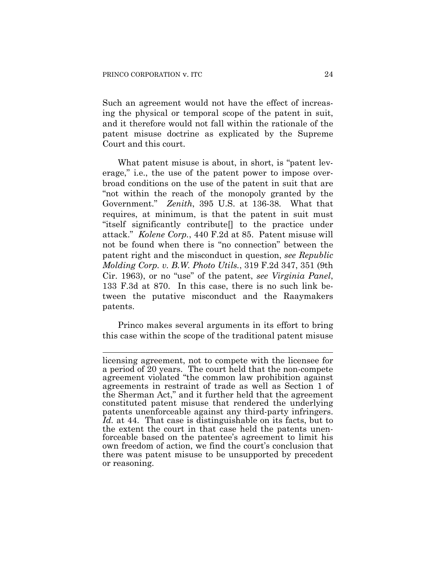$\overline{a}$ 

Such an agreement would not have the effect of increasing the physical or temporal scope of the patent in suit, and it therefore would not fall within the rationale of the patent misuse doctrine as explicated by the Supreme Court and this court.

What patent misuse is about, in short, is "patent leverage," i.e., the use of the patent power to impose overbroad conditions on the use of the patent in suit that are "not within the reach of the monopoly granted by the Government." *Zenith*, 395 U.S. at 136-38. What that requires, at minimum, is that the patent in suit must "itself significantly contribute[] to the practice under attack." *Kolene Corp.*, 440 F.2d at 85. Patent misuse will not be found when there is "no connection" between the patent right and the misconduct in question, *see Republic Molding Corp. v. B.W. Photo Utils.*, 319 F.2d 347, 351 (9th Cir. 1963), or no "use" of the patent, *see Virginia Panel*, 133 F.3d at 870. In this case, there is no such link between the putative misconduct and the Raaymakers patents.

Princo makes several arguments in its effort to bring this case within the scope of the traditional patent misuse

licensing agreement, not to compete with the licensee for a period of 20 years. The court held that the non-compete agreement violated "the common law prohibition against agreements in restraint of trade as well as Section 1 of the Sherman Act," and it further held that the agreement constituted patent misuse that rendered the underlying patents unenforceable against any third-party infringers. *Id.* at 44. That case is distinguishable on its facts, but to the extent the court in that case held the patents unenforceable based on the patentee's agreement to limit his own freedom of action, we find the court's conclusion that there was patent misuse to be unsupported by precedent or reasoning.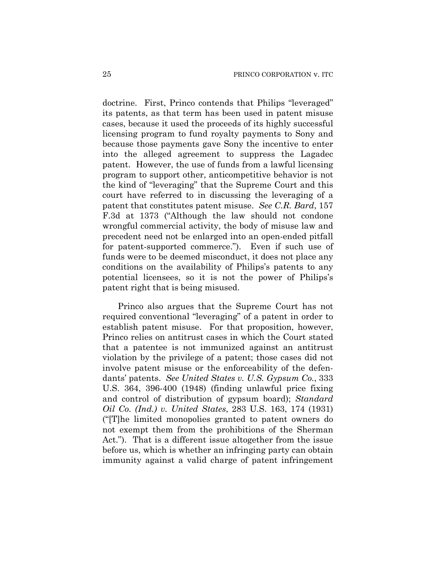doctrine. First, Princo contends that Philips "leveraged" its patents, as that term has been used in patent misuse cases, because it used the proceeds of its highly successful licensing program to fund royalty payments to Sony and because those payments gave Sony the incentive to enter into the alleged agreement to suppress the Lagadec patent. However, the use of funds from a lawful licensing program to support other, anticompetitive behavior is not the kind of "leveraging" that the Supreme Court and this court have referred to in discussing the leveraging of a patent that constitutes patent misuse. *See C.R. Bard*, 157 F.3d at 1373 ("Although the law should not condone wrongful commercial activity, the body of misuse law and precedent need not be enlarged into an open-ended pitfall for patent-supported commerce."). Even if such use of funds were to be deemed misconduct, it does not place any conditions on the availability of Philips's patents to any potential licensees, so it is not the power of Philips's patent right that is being misused.

Princo also argues that the Supreme Court has not required conventional "leveraging" of a patent in order to establish patent misuse. For that proposition, however, Princo relies on antitrust cases in which the Court stated that a patentee is not immunized against an antitrust violation by the privilege of a patent; those cases did not involve patent misuse or the enforceability of the defendants' patents. *See United States v. U.S. Gypsum Co.*, 333 U.S. 364, 396-400 (1948) (finding unlawful price fixing and control of distribution of gypsum board); *Standard Oil Co. (Ind.) v. United States*, 283 U.S. 163, 174 (1931) ("[T]he limited monopolies granted to patent owners do not exempt them from the prohibitions of the Sherman Act."). That is a different issue altogether from the issue before us, which is whether an infringing party can obtain immunity against a valid charge of patent infringement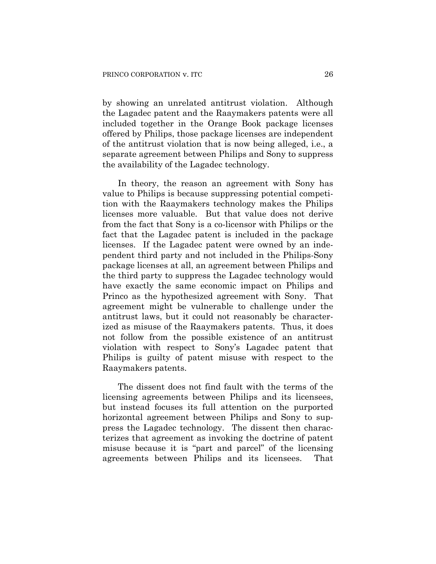by showing an unrelated antitrust violation. Although the Lagadec patent and the Raaymakers patents were all included together in the Orange Book package licenses offered by Philips, those package licenses are independent of the antitrust violation that is now being alleged, i.e., a separate agreement between Philips and Sony to suppress the availability of the Lagadec technology.

In theory, the reason an agreement with Sony has value to Philips is because suppressing potential competition with the Raaymakers technology makes the Philips licenses more valuable. But that value does not derive from the fact that Sony is a co-licensor with Philips or the fact that the Lagadec patent is included in the package licenses. If the Lagadec patent were owned by an independent third party and not included in the Philips-Sony package licenses at all, an agreement between Philips and the third party to suppress the Lagadec technology would have exactly the same economic impact on Philips and Princo as the hypothesized agreement with Sony. That agreement might be vulnerable to challenge under the antitrust laws, but it could not reasonably be characterized as misuse of the Raaymakers patents. Thus, it does not follow from the possible existence of an antitrust violation with respect to Sony's Lagadec patent that Philips is guilty of patent misuse with respect to the Raaymakers patents.

The dissent does not find fault with the terms of the licensing agreements between Philips and its licensees, but instead focuses its full attention on the purported horizontal agreement between Philips and Sony to suppress the Lagadec technology. The dissent then characterizes that agreement as invoking the doctrine of patent misuse because it is "part and parcel" of the licensing agreements between Philips and its licensees. That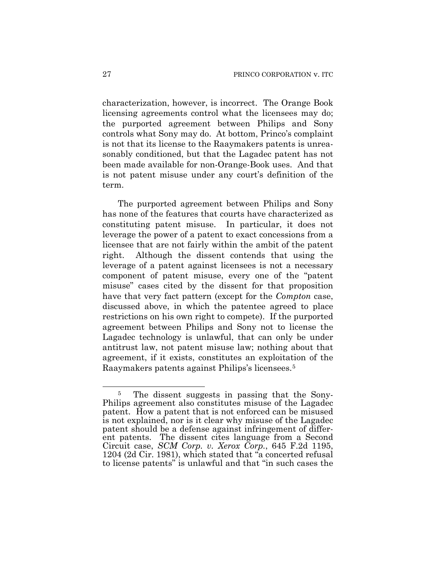characterization, however, is incorrect. The Orange Book licensing agreements control what the licensees may do; the purported agreement between Philips and Sony controls what Sony may do. At bottom, Princo's complaint is not that its license to the Raaymakers patents is unreasonably conditioned, but that the Lagadec patent has not been made available for non-Orange-Book uses. And that is not patent misuse under any court's definition of the term.

The purported agreement between Philips and Sony has none of the features that courts have characterized as constituting patent misuse. In particular, it does not leverage the power of a patent to exact concessions from a licensee that are not fairly within the ambit of the patent right. Although the dissent contends that using the leverage of a patent against licensees is not a necessary component of patent misuse, every one of the "patent misuse" cases cited by the dissent for that proposition have that very fact pattern (except for the *Compton* case, discussed above, in which the patentee agreed to place restrictions on his own right to compete). If the purported agreement between Philips and Sony not to license the Lagadec technology is unlawful, that can only be under antitrust law, not patent misuse law; nothing about that agreement, if it exists, constitutes an exploitation of the Raaymakers patents against Philips's licensees.[5](#page-26-0)

 $\overline{a}$ 

<span id="page-26-0"></span><sup>&</sup>lt;sup>5</sup> The dissent suggests in passing that the Sony-Philips agreement also constitutes misuse of the Lagadec patent. How a patent that is not enforced can be misused is not explained, nor is it clear why misuse of the Lagadec patent should be a defense against infringement of different patents. The dissent cites language from a Second Circuit case, *SCM Corp. v. Xerox Corp.*, 645 F.2d 1195, 1204 (2d Cir. 1981), which stated that "a concerted refusal to license patents" is unlawful and that "in such cases the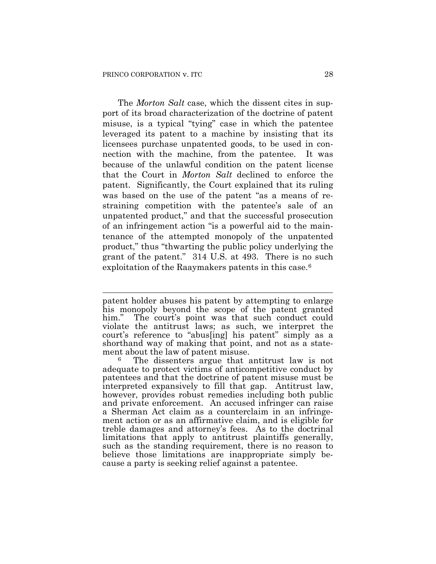The *Morton Salt* case, which the dissent cites in support of its broad characterization of the doctrine of patent misuse, is a typical "tying" case in which the patentee leveraged its patent to a machine by insisting that its licensees purchase unpatented goods, to be used in connection with the machine, from the patentee. It was because of the unlawful condition on the patent license that the Court in *Morton Salt* declined to enforce the patent. Significantly, the Court explained that its ruling was based on the use of the patent "as a means of restraining competition with the patentee's sale of an unpatented product," and that the successful prosecution of an infringement action "is a powerful aid to the maintenance of the attempted monopoly of the unpatented product," thus "thwarting the public policy underlying the grant of the patent." 314 U.S. at 493. There is no such exploitation of the Raaymakers patents in this case.[6](#page-27-0)

 $\overline{a}$ patent holder abuses his patent by attempting to enlarge his monopoly beyond the scope of the patent granted him." The court's point was that such conduct could violate the antitrust laws; as such, we interpret the court's reference to "abus[ing] his patent" simply as a shorthand way of making that point, and not as a statement about the law of patent misuse.<br> $\frac{6}{5}$  The dissenters argue that is

<span id="page-27-0"></span>The dissenters argue that antitrust law is not adequate to protect victims of anticompetitive conduct by patentees and that the doctrine of patent misuse must be interpreted expansively to fill that gap. Antitrust law, however, provides robust remedies including both public and private enforcement. An accused infringer can raise a Sherman Act claim as a counterclaim in an infringement action or as an affirmative claim, and is eligible for treble damages and attorney's fees. As to the doctrinal limitations that apply to antitrust plaintiffs generally, such as the standing requirement, there is no reason to believe those limitations are inappropriate simply because a party is seeking relief against a patentee.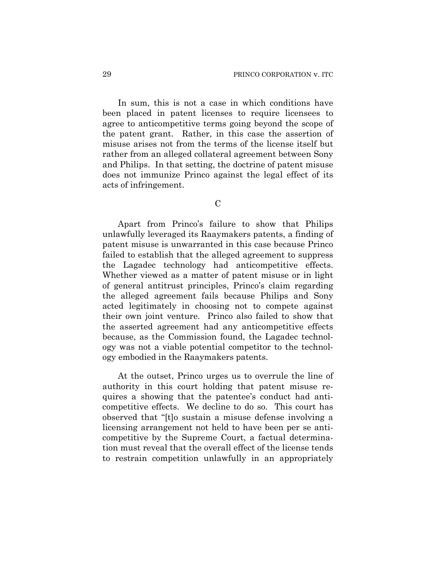In sum, this is not a case in which conditions have been placed in patent licenses to require licensees to agree to anticompetitive terms going beyond the scope of the patent grant. Rather, in this case the assertion of misuse arises not from the terms of the license itself but rather from an alleged collateral agreement between Sony and Philips. In that setting, the doctrine of patent misuse does not immunize Princo against the legal effect of its acts of infringement.

C

Apart from Princo's failure to show that Philips unlawfully leveraged its Raaymakers patents, a finding of patent misuse is unwarranted in this case because Princo failed to establish that the alleged agreement to suppress the Lagadec technology had anticompetitive effects. Whether viewed as a matter of patent misuse or in light of general antitrust principles, Princo's claim regarding the alleged agreement fails because Philips and Sony acted legitimately in choosing not to compete against their own joint venture. Princo also failed to show that the asserted agreement had any anticompetitive effects because, as the Commission found, the Lagadec technology was not a viable potential competitor to the technology embodied in the Raaymakers patents.

At the outset, Princo urges us to overrule the line of authority in this court holding that patent misuse requires a showing that the patentee's conduct had anticompetitive effects. We decline to do so. This court has observed that "[t]o sustain a misuse defense involving a licensing arrangement not held to have been per se anticompetitive by the Supreme Court, a factual determination must reveal that the overall effect of the license tends to restrain competition unlawfully in an appropriately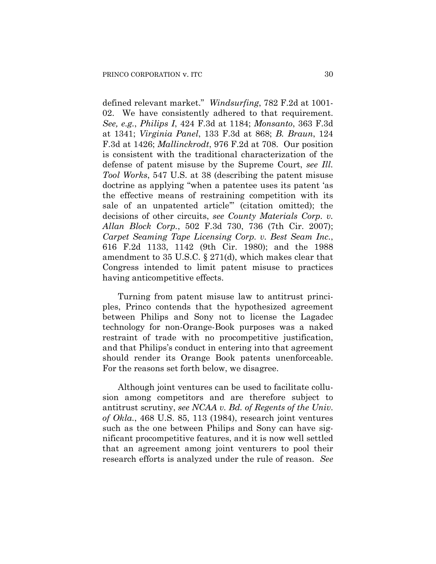defined relevant market." *Windsurfing*, 782 F.2d at 1001- 02. We have consistently adhered to that requirement. *See, e.g.*, *Philips I*, 424 F.3d at 1184; *Monsanto*, 363 F.3d at 1341; *Virginia Panel*, 133 F.3d at 868; *B. Braun*, 124 F.3d at 1426; *Mallinckrodt*, 976 F.2d at 708. Our position is consistent with the traditional characterization of the defense of patent misuse by the Supreme Court, *see Ill. Tool Works*, 547 U.S. at 38 (describing the patent misuse doctrine as applying "when a patentee uses its patent 'as the effective means of restraining competition with its sale of an unpatented article'" (citation omitted); the decisions of other circuits, *see County Materials Corp. v. Allan Block Corp.*, 502 F.3d 730, 736 (7th Cir. 2007); *Carpet Seaming Tape Licensing Corp. v. Best Seam Inc.*, 616 F.2d 1133, 1142 (9th Cir. 1980); and the 1988 amendment to 35 U.S.C. § 271(d), which makes clear that Congress intended to limit patent misuse to practices having anticompetitive effects.

Turning from patent misuse law to antitrust principles, Princo contends that the hypothesized agreement between Philips and Sony not to license the Lagadec technology for non-Orange-Book purposes was a naked restraint of trade with no procompetitive justification, and that Philips's conduct in entering into that agreement should render its Orange Book patents unenforceable. For the reasons set forth below, we disagree.

Although joint ventures can be used to facilitate collusion among competitors and are therefore subject to antitrust scrutiny, *see NCAA v. Bd. of Regents of the Univ. of Okla.*, 468 U.S. 85, 113 (1984), research joint ventures such as the one between Philips and Sony can have significant procompetitive features, and it is now well settled that an agreement among joint venturers to pool their research efforts is analyzed under the rule of reason. *See*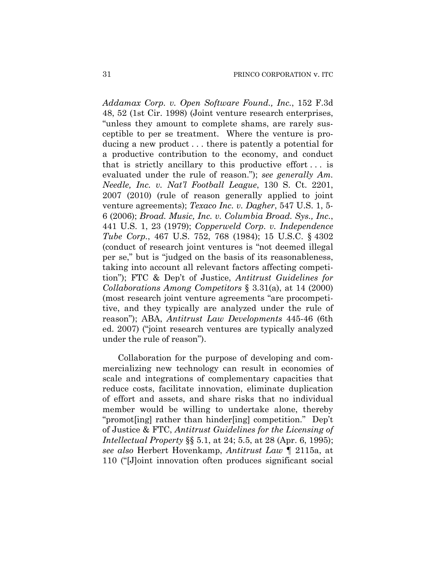*Addamax Corp. v. Open Software Found., Inc.*, 152 F.3d 48, 52 (1st Cir. 1998) (Joint venture research enterprises, "unless they amount to complete shams, are rarely susceptible to per se treatment. Where the venture is producing a new product . . . there is patently a potential for a productive contribution to the economy, and conduct that is strictly ancillary to this productive effort . . . is evaluated under the rule of reason."); *see generally Am. Needle, Inc. v. Nat'l Football League*, 130 S. Ct. 2201, 2007 (2010) (rule of reason generally applied to joint venture agreements); *Texaco Inc. v. Dagher*, 547 U.S. 1, 5- 6 (2006); *Broad. Music, Inc. v. Columbia Broad. Sys., Inc.*, 441 U.S. 1, 23 (1979); *Copperweld Corp. v. Independence Tube Corp.*, 467 U.S. 752, 768 (1984); 15 U.S.C. § 4302 (conduct of research joint ventures is "not deemed illegal per se," but is "judged on the basis of its reasonableness, taking into account all relevant factors affecting competition"); FTC & Dep't of Justice, *Antitrust Guidelines for Collaborations Among Competitors* § 3.31(a), at 14 (2000) (most research joint venture agreements "are procompetitive, and they typically are analyzed under the rule of reason"); ABA, *Antitrust Law Developments* 445-46 (6th ed. 2007) ("joint research ventures are typically analyzed under the rule of reason").

Collaboration for the purpose of developing and commercializing new technology can result in economies of scale and integrations of complementary capacities that reduce costs, facilitate innovation, eliminate duplication of effort and assets, and share risks that no individual member would be willing to undertake alone, thereby "promot[ing] rather than hinder[ing] competition." Dep't of Justice & FTC, *Antitrust Guidelines for the Licensing of Intellectual Property* §§ 5.1, at 24; 5.5, at 28 (Apr. 6, 1995); *see also* Herbert Hovenkamp, *Antitrust Law* ¶ 2115a, at 110 ("[J]oint innovation often produces significant social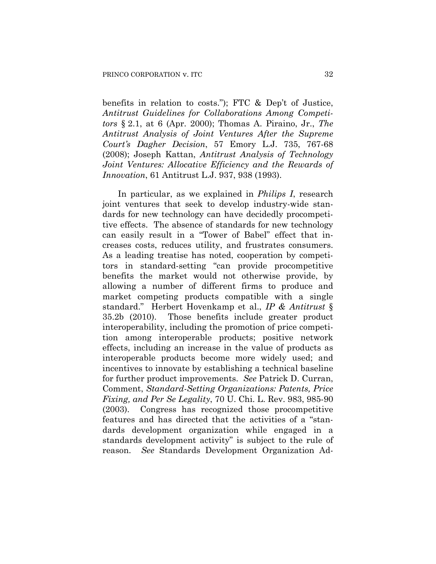benefits in relation to costs."); FTC & Dep't of Justice, *Antitrust Guidelines for Collaborations Among Competitors* § 2.1, at 6 (Apr. 2000); Thomas A. Piraino, Jr., *The Antitrust Analysis of Joint Ventures After the Supreme Court's Dagher Decision*, 57 Emory L.J. 735, 767-68 (2008); Joseph Kattan, *Antitrust Analysis of Technology Joint Ventures: Allocative Efficiency and the Rewards of Innovation*, 61 Antitrust L.J. 937, 938 (1993).

In particular, as we explained in *Philips I*, research joint ventures that seek to develop industry-wide standards for new technology can have decidedly procompetitive effects. The absence of standards for new technology can easily result in a "Tower of Babel" effect that increases costs, reduces utility, and frustrates consumers. As a leading treatise has noted, cooperation by competitors in standard-setting "can provide procompetitive benefits the market would not otherwise provide, by allowing a number of different firms to produce and market competing products compatible with a single standard." Herbert Hovenkamp et al., *IP & Antitrust* § 35.2b (2010). Those benefits include greater product interoperability, including the promotion of price competition among interoperable products; positive network effects, including an increase in the value of products as interoperable products become more widely used; and incentives to innovate by establishing a technical baseline for further product improvements. *See* Patrick D. Curran, Comment, *Standard-Setting Organizations: Patents, Price Fixing, and Per Se Legality*, 70 U. Chi. L. Rev. 983, 985-90 (2003). Congress has recognized those procompetitive features and has directed that the activities of a "standards development organization while engaged in a standards development activity" is subject to the rule of reason. *See* Standards Development Organization Ad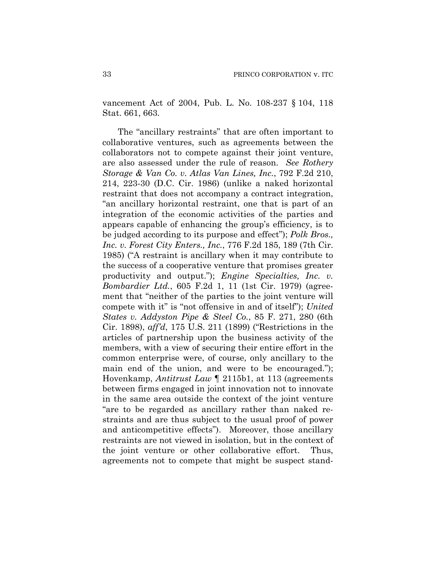vancement Act of 2004, Pub. L. No. 108-237 § 104, 118 Stat. 661, 663.

The "ancillary restraints" that are often important to collaborative ventures, such as agreements between the collaborators not to compete against their joint venture, are also assessed under the rule of reason. *See Rothery Storage & Van Co. v. Atlas Van Lines, Inc.*, 792 F.2d 210, 214, 223-30 (D.C. Cir. 1986) (unlike a naked horizontal restraint that does not accompany a contract integration, "an ancillary horizontal restraint, one that is part of an integration of the economic activities of the parties and appears capable of enhancing the group's efficiency, is to be judged according to its purpose and effect"); *Polk Bros., Inc. v. Forest City Enters., Inc.*, 776 F.2d 185, 189 (7th Cir. 1985) ("A restraint is ancillary when it may contribute to the success of a cooperative venture that promises greater productivity and output."); *Engine Specialties, Inc. v. Bombardier Ltd.*, 605 F.2d 1, 11 (1st Cir. 1979) (agreement that "neither of the parties to the joint venture will compete with it" is "not offensive in and of itself"); *United States v. Addyston Pipe & Steel Co.*, 85 F. 271, 280 (6th Cir. 1898), *aff'd*, 175 U.S. 211 (1899) ("Restrictions in the articles of partnership upon the business activity of the members, with a view of securing their entire effort in the common enterprise were, of course, only ancillary to the main end of the union, and were to be encouraged."); Hovenkamp, *Antitrust Law* ¶ 2115b1, at 113 (agreements between firms engaged in joint innovation not to innovate in the same area outside the context of the joint venture "are to be regarded as ancillary rather than naked restraints and are thus subject to the usual proof of power and anticompetitive effects"). Moreover, those ancillary restraints are not viewed in isolation, but in the context of the joint venture or other collaborative effort. Thus, agreements not to compete that might be suspect stand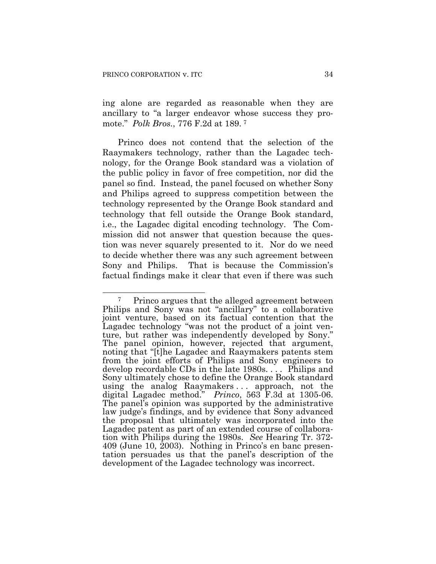ing alone are regarded as reasonable when they are ancillary to "a larger endeavor whose success they promote." *Polk Bros.*, 776 F.2d at 189. [7](#page-33-0)

Princo does not contend that the selection of the Raaymakers technology, rather than the Lagadec technology, for the Orange Book standard was a violation of the public policy in favor of free competition, nor did the panel so find. Instead, the panel focused on whether Sony and Philips agreed to suppress competition between the technology represented by the Orange Book standard and technology that fell outside the Orange Book standard, i.e., the Lagadec digital encoding technology. The Commission did not answer that question because the question was never squarely presented to it. Nor do we need to decide whether there was any such agreement between Sony and Philips. That is because the Commission's factual findings make it clear that even if there was such

<span id="page-33-0"></span><sup>&</sup>lt;u>.</u> Princo argues that the alleged agreement between Philips and Sony was not "ancillary" to a collaborative joint venture, based on its factual contention that the Lagadec technology "was not the product of a joint venture, but rather was independently developed by Sony." The panel opinion, however, rejected that argument, noting that "[t]he Lagadec and Raaymakers patents stem from the joint efforts of Philips and Sony engineers to develop recordable CDs in the late 1980s. . . . Philips and Sony ultimately chose to define the Orange Book standard using the analog Raaymakers . . . approach, not the digital Lagadec method." *Princo*, 563 F.3d at 1305-06. The panel's opinion was supported by the administrative law judge's findings, and by evidence that Sony advanced the proposal that ultimately was incorporated into the Lagadec patent as part of an extended course of collaboration with Philips during the 1980s. *See* Hearing Tr. 372- 409 (June 10, 2003). Nothing in Princo's en banc presentation persuades us that the panel's description of the development of the Lagadec technology was incorrect.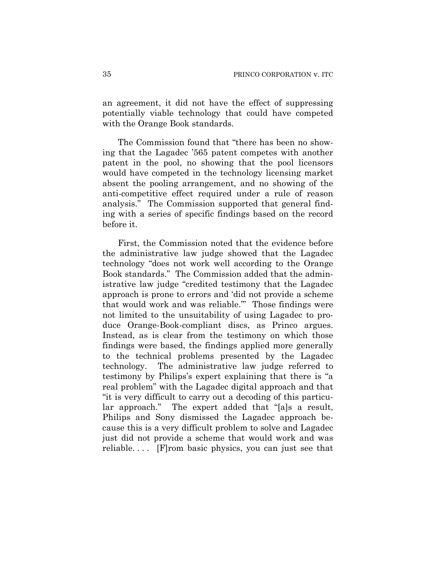an agreement, it did not have the effect of suppressing potentially viable technology that could have competed with the Orange Book standards.

The Commission found that "there has been no showing that the Lagadec '565 patent competes with another patent in the pool, no showing that the pool licensors would have competed in the technology licensing market absent the pooling arrangement, and no showing of the anti-competitive effect required under a rule of reason analysis." The Commission supported that general finding with a series of specific findings based on the record before it.

First, the Commission noted that the evidence before the administrative law judge showed that the Lagadec technology "does not work well according to the Orange Book standards." The Commission added that the administrative law judge "credited testimony that the Lagadec approach is prone to errors and 'did not provide a scheme that would work and was reliable.'" Those findings were not limited to the unsuitability of using Lagadec to produce Orange-Book-compliant discs, as Princo argues. Instead, as is clear from the testimony on which those findings were based, the findings applied more generally to the technical problems presented by the Lagadec technology. The administrative law judge referred to testimony by Philips's expert explaining that there is "a real problem" with the Lagadec digital approach and that "it is very difficult to carry out a decoding of this particular approach." The expert added that "[a]s a result, Philips and Sony dismissed the Lagadec approach because this is a very difficult problem to solve and Lagadec just did not provide a scheme that would work and was reliable. . . . [F]rom basic physics, you can just see that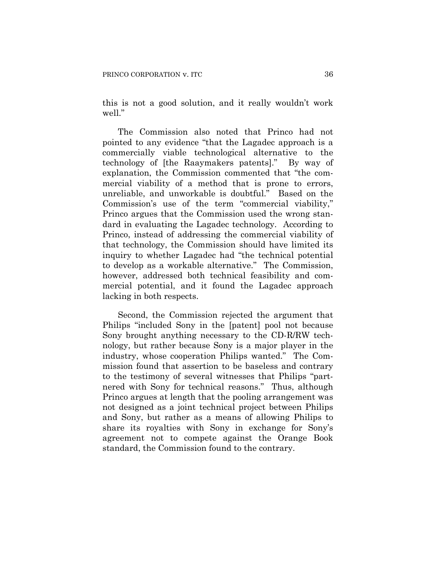this is not a good solution, and it really wouldn't work well."

The Commission also noted that Princo had not pointed to any evidence "that the Lagadec approach is a commercially viable technological alternative to the technology of [the Raaymakers patents]." By way of explanation, the Commission commented that "the commercial viability of a method that is prone to errors, unreliable, and unworkable is doubtful." Based on the Commission's use of the term "commercial viability," Princo argues that the Commission used the wrong standard in evaluating the Lagadec technology. According to Princo, instead of addressing the commercial viability of that technology, the Commission should have limited its inquiry to whether Lagadec had "the technical potential to develop as a workable alternative." The Commission, however, addressed both technical feasibility and commercial potential, and it found the Lagadec approach lacking in both respects.

 Second, the Commission rejected the argument that Philips "included Sony in the [patent] pool not because Sony brought anything necessary to the CD-R/RW technology, but rather because Sony is a major player in the industry, whose cooperation Philips wanted." The Commission found that assertion to be baseless and contrary to the testimony of several witnesses that Philips "partnered with Sony for technical reasons." Thus, although Princo argues at length that the pooling arrangement was not designed as a joint technical project between Philips and Sony, but rather as a means of allowing Philips to share its royalties with Sony in exchange for Sony's agreement not to compete against the Orange Book standard, the Commission found to the contrary.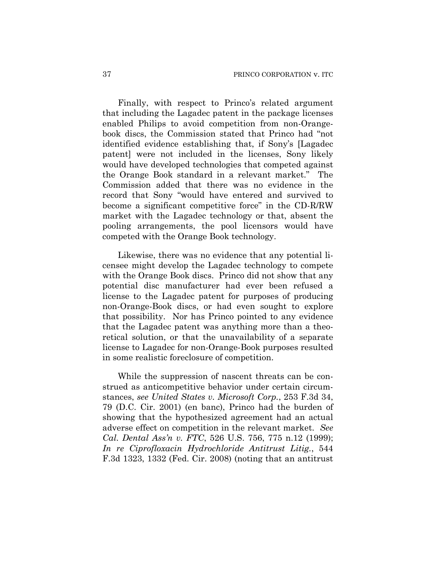Finally, with respect to Princo's related argument that including the Lagadec patent in the package licenses enabled Philips to avoid competition from non-Orangebook discs, the Commission stated that Princo had "not identified evidence establishing that, if Sony's [Lagadec patent] were not included in the licenses, Sony likely would have developed technologies that competed against the Orange Book standard in a relevant market." The Commission added that there was no evidence in the record that Sony "would have entered and survived to become a significant competitive force" in the CD-R/RW market with the Lagadec technology or that, absent the pooling arrangements, the pool licensors would have competed with the Orange Book technology.

Likewise, there was no evidence that any potential licensee might develop the Lagadec technology to compete with the Orange Book discs. Princo did not show that any potential disc manufacturer had ever been refused a license to the Lagadec patent for purposes of producing non-Orange-Book discs, or had even sought to explore that possibility. Nor has Princo pointed to any evidence that the Lagadec patent was anything more than a theoretical solution, or that the unavailability of a separate license to Lagadec for non-Orange-Book purposes resulted in some realistic foreclosure of competition.

While the suppression of nascent threats can be construed as anticompetitive behavior under certain circumstances, *see United States v. Microsoft Corp.*, 253 F.3d 34, 79 (D.C. Cir. 2001) (en banc), Princo had the burden of showing that the hypothesized agreement had an actual adverse effect on competition in the relevant market. *See Cal. Dental Ass'n v. FTC*, 526 U.S. 756, 775 n.12 (1999); *In re Ciprofloxacin Hydrochloride Antitrust Litig.*, 544 F.3d 1323, 1332 (Fed. Cir. 2008) (noting that an antitrust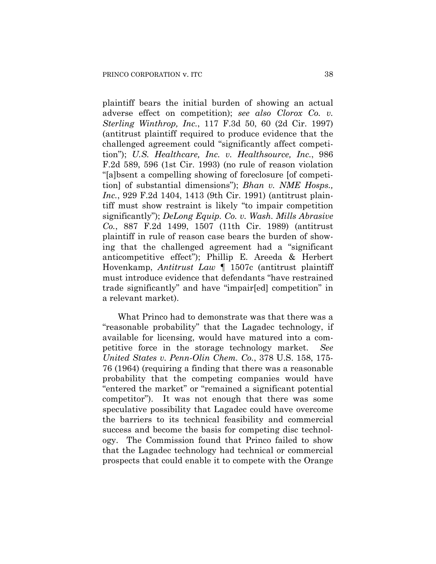plaintiff bears the initial burden of showing an actual adverse effect on competition); *see also Clorox Co. v. Sterling Winthrop, Inc.*, 117 F.3d 50, 60 (2d Cir. 1997) (antitrust plaintiff required to produce evidence that the challenged agreement could "significantly affect competition"); *U.S. Healthcare, Inc. v. Healthsource, Inc.*, 986 F.2d 589, 596 (1st Cir. 1993) (no rule of reason violation "[a]bsent a compelling showing of foreclosure [of competition] of substantial dimensions"); *Bhan v. NME Hosps., Inc.*, 929 F.2d 1404, 1413 (9th Cir. 1991) (antitrust plaintiff must show restraint is likely "to impair competition significantly"); *DeLong Equip. Co. v. Wash. Mills Abrasive Co.*, 887 F.2d 1499, 1507 (11th Cir. 1989) (antitrust plaintiff in rule of reason case bears the burden of showing that the challenged agreement had a "significant anticompetitive effect"); Phillip E. Areeda & Herbert Hovenkamp, *Antitrust Law* ¶ 1507c (antitrust plaintiff must introduce evidence that defendants "have restrained trade significantly" and have "impair[ed] competition" in a relevant market).

What Princo had to demonstrate was that there was a "reasonable probability" that the Lagadec technology, if available for licensing, would have matured into a competitive force in the storage technology market. *See United States v. Penn-Olin Chem. Co.*, 378 U.S. 158, 175- 76 (1964) (requiring a finding that there was a reasonable probability that the competing companies would have "entered the market" or "remained a significant potential competitor"). It was not enough that there was some speculative possibility that Lagadec could have overcome the barriers to its technical feasibility and commercial success and become the basis for competing disc technology. The Commission found that Princo failed to show that the Lagadec technology had technical or commercial prospects that could enable it to compete with the Orange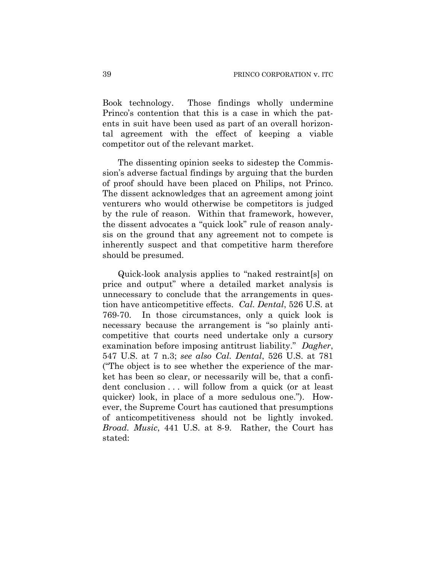Book technology. Those findings wholly undermine Princo's contention that this is a case in which the patents in suit have been used as part of an overall horizontal agreement with the effect of keeping a viable competitor out of the relevant market.

The dissenting opinion seeks to sidestep the Commission's adverse factual findings by arguing that the burden of proof should have been placed on Philips, not Princo. The dissent acknowledges that an agreement among joint venturers who would otherwise be competitors is judged by the rule of reason. Within that framework, however, the dissent advocates a "quick look" rule of reason analysis on the ground that any agreement not to compete is inherently suspect and that competitive harm therefore should be presumed.

Quick-look analysis applies to "naked restraint[s] on price and output" where a detailed market analysis is unnecessary to conclude that the arrangements in question have anticompetitive effects. *Cal. Dental*, 526 U.S. at 769-70. In those circumstances, only a quick look is necessary because the arrangement is "so plainly anticompetitive that courts need undertake only a cursory examination before imposing antitrust liability." *Dagher*, 547 U.S. at 7 n.3; *see also Cal. Dental*, 526 U.S. at 781 ("The object is to see whether the experience of the market has been so clear, or necessarily will be, that a confident conclusion . . . will follow from a quick (or at least quicker) look, in place of a more sedulous one."). However, the Supreme Court has cautioned that presumptions of anticompetitiveness should not be lightly invoked. *Broad. Music*, 441 U.S. at 8-9. Rather, the Court has stated: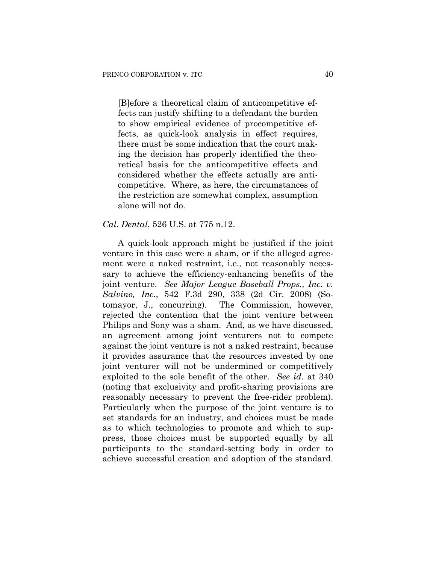[B]efore a theoretical claim of anticompetitive effects can justify shifting to a defendant the burden to show empirical evidence of procompetitive effects, as quick-look analysis in effect requires, there must be some indication that the court making the decision has properly identified the theoretical basis for the anticompetitive effects and considered whether the effects actually are anticompetitive. Where, as here, the circumstances of the restriction are somewhat complex, assumption alone will not do.

#### *Cal. Dental*, 526 U.S. at 775 n.12.

A quick-look approach might be justified if the joint venture in this case were a sham, or if the alleged agreement were a naked restraint, i.e., not reasonably necessary to achieve the efficiency-enhancing benefits of the joint venture. *See Major League Baseball Props., Inc. v. Salvino, Inc.*, 542 F.3d 290, 338 (2d Cir. 2008) (Sotomayor, J., concurring). The Commission, however, rejected the contention that the joint venture between Philips and Sony was a sham. And, as we have discussed, an agreement among joint venturers not to compete against the joint venture is not a naked restraint, because it provides assurance that the resources invested by one joint venturer will not be undermined or competitively exploited to the sole benefit of the other. *See id.* at 340 (noting that exclusivity and profit-sharing provisions are reasonably necessary to prevent the free-rider problem). Particularly when the purpose of the joint venture is to set standards for an industry, and choices must be made as to which technologies to promote and which to suppress, those choices must be supported equally by all participants to the standard-setting body in order to achieve successful creation and adoption of the standard.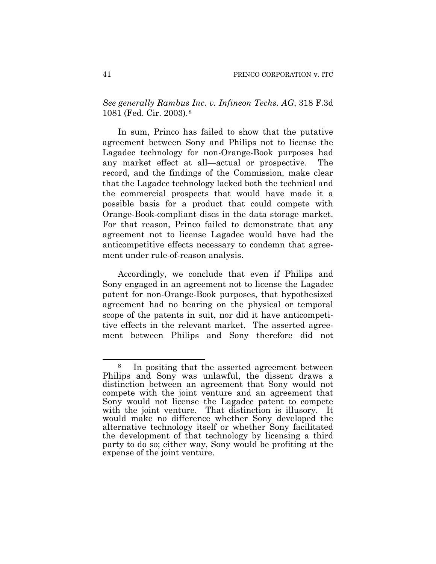*See generally Rambus Inc. v. Infineon Techs. AG*, 318 F.3d 1081 (Fed. Cir. 2003).[8](#page-40-0)

In sum, Princo has failed to show that the putative agreement between Sony and Philips not to license the Lagadec technology for non-Orange-Book purposes had any market effect at all—actual or prospective. The record, and the findings of the Commission, make clear that the Lagadec technology lacked both the technical and the commercial prospects that would have made it a possible basis for a product that could compete with Orange-Book-compliant discs in the data storage market. For that reason, Princo failed to demonstrate that any agreement not to license Lagadec would have had the anticompetitive effects necessary to condemn that agreement under rule-of-reason analysis.

Accordingly, we conclude that even if Philips and Sony engaged in an agreement not to license the Lagadec patent for non-Orange-Book purposes, that hypothesized agreement had no bearing on the physical or temporal scope of the patents in suit, nor did it have anticompetitive effects in the relevant market. The asserted agreement between Philips and Sony therefore did not

<span id="page-40-0"></span> $\overline{a}$ 8 In positing that the asserted agreement between Philips and Sony was unlawful, the dissent draws a distinction between an agreement that Sony would not compete with the joint venture and an agreement that Sony would not license the Lagadec patent to compete with the joint venture. That distinction is illusory. It would make no difference whether Sony developed the alternative technology itself or whether Sony facilitated the development of that technology by licensing a third party to do so; either way, Sony would be profiting at the expense of the joint venture.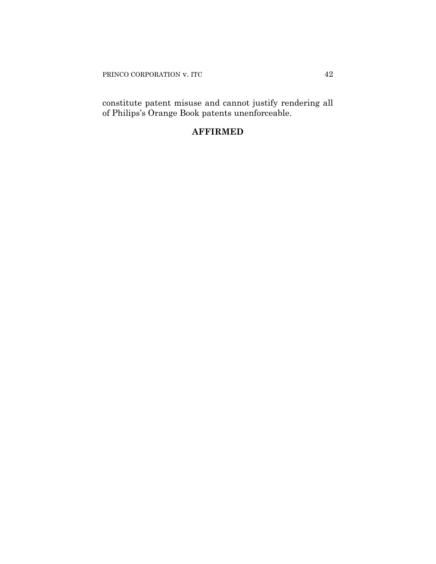constitute patent misuse and cannot justify rendering all of Philips's Orange Book patents unenforceable.

## **AFFIRMED**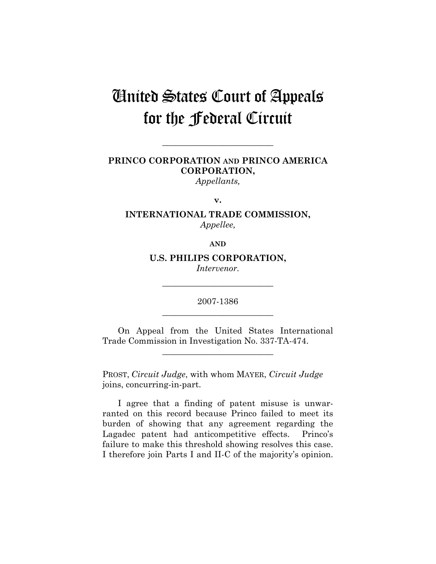# United States Court of Appeals for the Federal Circuit

## **PRINCO CORPORATION AND PRINCO AMERICA CORPORATION,**

**\_\_\_\_\_\_\_\_\_\_\_\_\_\_\_\_\_\_\_\_\_\_\_\_\_\_** 

*Appellants,* 

**v.** 

**INTERNATIONAL TRADE COMMISSION,**  *Appellee,* 

**AND**

**U.S. PHILIPS CORPORATION,** 

*Intervenor.*  **\_\_\_\_\_\_\_\_\_\_\_\_\_\_\_\_\_\_\_\_\_\_\_\_\_\_** 

2007-1386 **\_\_\_\_\_\_\_\_\_\_\_\_\_\_\_\_\_\_\_\_\_\_\_\_\_\_** 

On Appeal from the United States International Trade Commission in Investigation No. 337-TA-474.

**\_\_\_\_\_\_\_\_\_\_\_\_\_\_\_\_\_\_\_\_\_\_\_\_\_\_** 

PROST, *Circuit Judge*, with whom MAYER, *Circuit Judge* joins, concurring-in-part.

I agree that a finding of patent misuse is unwarranted on this record because Princo failed to meet its burden of showing that any agreement regarding the Lagadec patent had anticompetitive effects. Princo's failure to make this threshold showing resolves this case. I therefore join Parts I and II-C of the majority's opinion.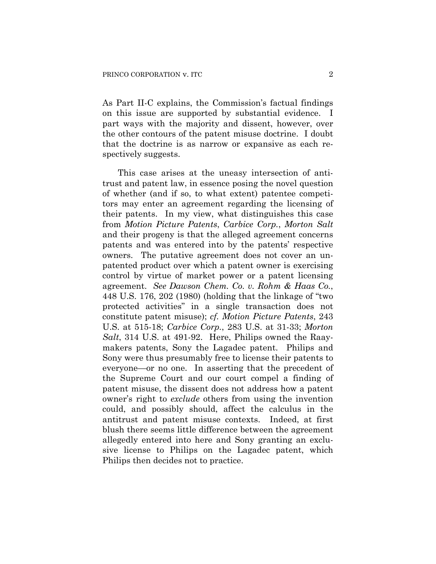As Part II-C explains, the Commission's factual findings on this issue are supported by substantial evidence. I part ways with the majority and dissent, however, over the other contours of the patent misuse doctrine. I doubt that the doctrine is as narrow or expansive as each respectively suggests.

This case arises at the uneasy intersection of antitrust and patent law, in essence posing the novel question of whether (and if so, to what extent) patentee competitors may enter an agreement regarding the licensing of their patents. In my view, what distinguishes this case from *Motion Picture Patents*, *Carbice Corp.*, *Morton Salt* and their progeny is that the alleged agreement concerns patents and was entered into by the patents' respective owners. The putative agreement does not cover an unpatented product over which a patent owner is exercising control by virtue of market power or a patent licensing agreement. *See Dawson Chem. Co. v. Rohm & Haas Co.*, 448 U.S. 176, 202 (1980) (holding that the linkage of "two protected activities" in a single transaction does not constitute patent misuse); *cf. Motion Picture Patents*, 243 U.S. at 515-18; *Carbice Corp.*, 283 U.S. at 31-33; *Morton Salt*, 314 U.S. at 491-92. Here, Philips owned the Raaymakers patents, Sony the Lagadec patent. Philips and Sony were thus presumably free to license their patents to everyone—or no one. In asserting that the precedent of the Supreme Court and our court compel a finding of patent misuse, the dissent does not address how a patent owner's right to *exclude* others from using the invention could, and possibly should, affect the calculus in the antitrust and patent misuse contexts. Indeed, at first blush there seems little difference between the agreement allegedly entered into here and Sony granting an exclusive license to Philips on the Lagadec patent, which Philips then decides not to practice.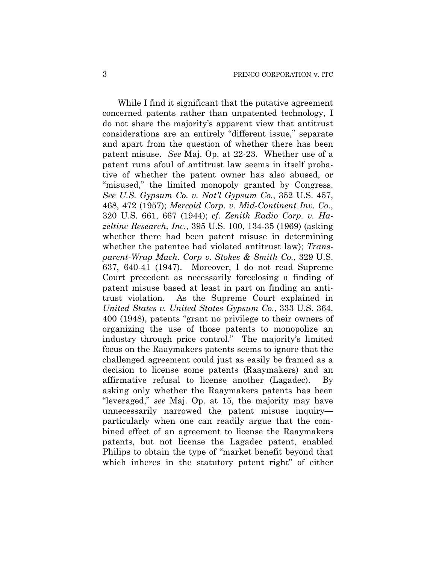While I find it significant that the putative agreement concerned patents rather than unpatented technology, I do not share the majority's apparent view that antitrust considerations are an entirely "different issue," separate and apart from the question of whether there has been patent misuse. *See* Maj. Op. at 22-23. Whether use of a patent runs afoul of antitrust law seems in itself probative of whether the patent owner has also abused, or "misused," the limited monopoly granted by Congress. *See U.S. Gypsum Co. v. Nat'l Gypsum Co.*, 352 U.S. 457, 468, 472 (1957); *Mercoid Corp. v. Mid-Continent Inv. Co.*, 320 U.S. 661, 667 (1944); *cf. Zenith Radio Corp. v. Hazeltine Research, Inc.*, 395 U.S. 100, 134-35 (1969) (asking whether there had been patent misuse in determining whether the patentee had violated antitrust law); *Transparent-Wrap Mach. Corp v. Stokes & Smith Co.*, 329 U.S. 637, 640-41 (1947). Moreover, I do not read Supreme Court precedent as necessarily foreclosing a finding of patent misuse based at least in part on finding an antitrust violation. As the Supreme Court explained in *United States v. United States Gypsum Co.*, 333 U.S. 364, 400 (1948), patents "grant no privilege to their owners of organizing the use of those patents to monopolize an industry through price control." The majority's limited focus on the Raaymakers patents seems to ignore that the challenged agreement could just as easily be framed as a decision to license some patents (Raaymakers) and an affirmative refusal to license another (Lagadec). By asking only whether the Raaymakers patents has been "leveraged," *see* Maj. Op. at 15, the majority may have unnecessarily narrowed the patent misuse inquiry particularly when one can readily argue that the combined effect of an agreement to license the Raaymakers patents, but not license the Lagadec patent, enabled Philips to obtain the type of "market benefit beyond that which inheres in the statutory patent right" of either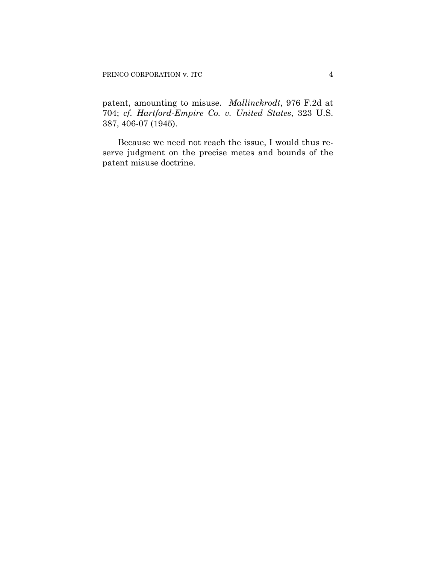patent, amounting to misuse. *Mallinckrodt*, 976 F.2d at 704; *cf. Hartford-Empire Co. v. United States*, 323 U.S. 387, 406-07 (1945).

Because we need not reach the issue, I would thus reserve judgment on the precise metes and bounds of the patent misuse doctrine.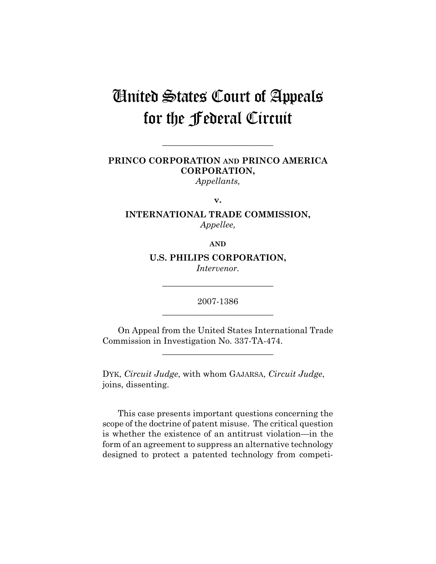# United States Court of Appeals for the Federal Circuit

## **PRINCO CORPORATION AND PRINCO AMERICA CORPORATION,**

**\_\_\_\_\_\_\_\_\_\_\_\_\_\_\_\_\_\_\_\_\_\_\_\_\_\_** 

*Appellants,* 

**v.** 

**INTERNATIONAL TRADE COMMISSION,**  *Appellee,* 

**AND**

**U.S. PHILIPS CORPORATION,** 

*Intervenor.* 

**\_\_\_\_\_\_\_\_\_\_\_\_\_\_\_\_\_\_\_\_\_\_\_\_\_\_** 

2007-1386 **\_\_\_\_\_\_\_\_\_\_\_\_\_\_\_\_\_\_\_\_\_\_\_\_\_\_** 

On Appeal from the United States International Trade Commission in Investigation No. 337-TA-474.

**\_\_\_\_\_\_\_\_\_\_\_\_\_\_\_\_\_\_\_\_\_\_\_\_\_\_** 

DYK, *Circuit Judge*, with whom GAJARSA, *Circuit Judge*, joins, dissenting.

This case presents important questions concerning the scope of the doctrine of patent misuse. The critical question is whether the existence of an antitrust violation—in the form of an agreement to suppress an alternative technology designed to protect a patented technology from competi-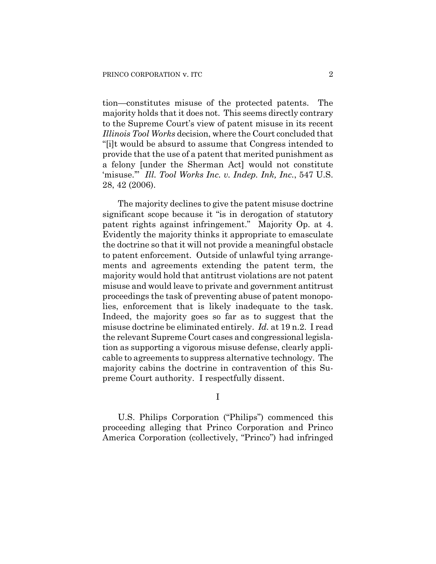tion—constitutes misuse of the protected patents. The majority holds that it does not. This seems directly contrary to the Supreme Court's view of patent misuse in its recent *Illinois Tool Works* decision, where the Court concluded that "[i]t would be absurd to assume that Congress intended to provide that the use of a patent that merited punishment as a felony [under the Sherman Act] would not constitute 'misuse.'" *Ill. Tool Works Inc. v. Indep. Ink, Inc.*, 547 U.S. 28, 42 (2006).

The majority declines to give the patent misuse doctrine significant scope because it "is in derogation of statutory patent rights against infringement." Majority Op. at 4. Evidently the majority thinks it appropriate to emasculate the doctrine so that it will not provide a meaningful obstacle to patent enforcement. Outside of unlawful tying arrangements and agreements extending the patent term, the majority would hold that antitrust violations are not patent misuse and would leave to private and government antitrust proceedings the task of preventing abuse of patent monopolies, enforcement that is likely inadequate to the task. Indeed, the majority goes so far as to suggest that the misuse doctrine be eliminated entirely. *Id.* at 19 n.2. I read the relevant Supreme Court cases and congressional legislation as supporting a vigorous misuse defense, clearly applicable to agreements to suppress alternative technology. The majority cabins the doctrine in contravention of this Supreme Court authority. I respectfully dissent.

I

U.S. Philips Corporation ("Philips") commenced this proceeding alleging that Princo Corporation and Princo America Corporation (collectively, "Princo") had infringed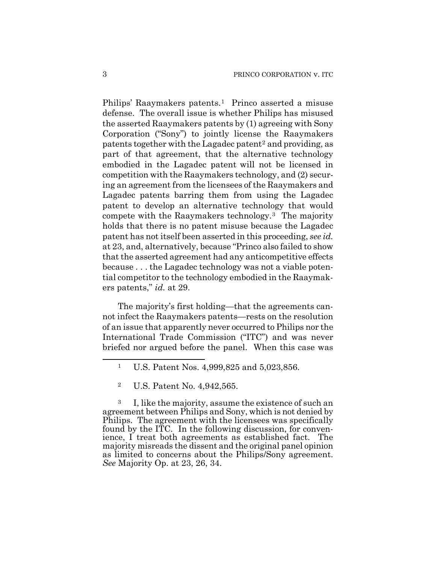Philips' Raaymakers patents.<sup>[1](#page-48-0)</sup> Princo asserted a misuse defense. The overall issue is whether Philips has misused the asserted Raaymakers patents by (1) agreeing with Sony Corporation ("Sony") to jointly license the Raaymakers patents together with the Lagadec patent<sup>[2](#page-48-1)</sup> and providing, as part of that agreement, that the alternative technology embodied in the Lagadec patent will not be licensed in competition with the Raaymakers technology, and (2) securing an agreement from the licensees of the Raaymakers and Lagadec patents barring them from using the Lagadec patent to develop an alternative technology that would compete with the Raaymakers technology.[3](#page-48-2) The majority holds that there is no patent misuse because the Lagadec patent has not itself been asserted in this proceeding, *see id.* at 23, and, alternatively, because "Princo also failed to show that the asserted agreement had any anticompetitive effects because . . . the Lagadec technology was not a viable potential competitor to the technology embodied in the Raaymakers patents," *id.* at 29.

The majority's first holding—that the agreements cannot infect the Raaymakers patents—rests on the resolution of an issue that apparently never occurred to Philips nor the International Trade Commission ("ITC") and was never briefed nor argued before the panel. When this case was

<span id="page-48-0"></span> $\overline{a}$ 

<sup>1</sup> U.S. Patent Nos. 4,999,825 and 5,023,856.

<sup>2</sup> U.S. Patent No. 4,942,565.

<span id="page-48-2"></span><span id="page-48-1"></span><sup>3</sup> I, like the majority, assume the existence of such an agreement between Philips and Sony, which is not denied by Philips. The agreement with the licensees was specifically found by the ITC. In the following discussion, for convenience, I treat both agreements as established fact. The majority misreads the dissent and the original panel opinion as limited to concerns about the Philips/Sony agreement. *See* Majority Op. at 23, 26, 34.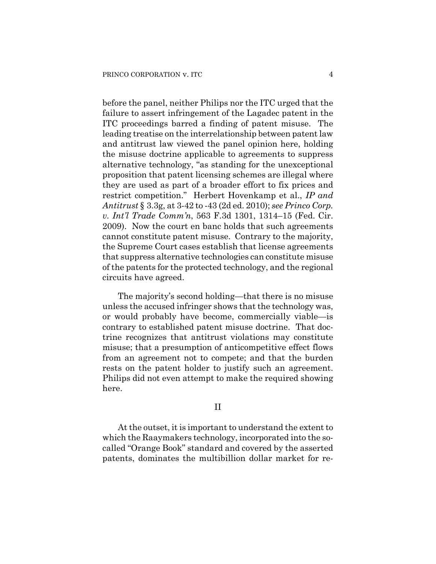before the panel, neither Philips nor the ITC urged that the failure to assert infringement of the Lagadec patent in the ITC proceedings barred a finding of patent misuse. The leading treatise on the interrelationship between patent law and antitrust law viewed the panel opinion here, holding the misuse doctrine applicable to agreements to suppress alternative technology, "as standing for the unexceptional proposition that patent licensing schemes are illegal where they are used as part of a broader effort to fix prices and restrict competition." Herbert Hovenkamp et al., *IP and Antitrust* § 3.3g, at 3-42 to -43 (2d ed. 2010); *see Princo Corp. v. Int'l Trade Comm'n*, 563 F.3d 1301, 1314–15 (Fed. Cir. 2009). Now the court en banc holds that such agreements cannot constitute patent misuse. Contrary to the majority, the Supreme Court cases establish that license agreements that suppress alternative technologies can constitute misuse of the patents for the protected technology, and the regional circuits have agreed.

The majority's second holding—that there is no misuse unless the accused infringer shows that the technology was, or would probably have become, commercially viable—is contrary to established patent misuse doctrine. That doctrine recognizes that antitrust violations may constitute misuse; that a presumption of anticompetitive effect flows from an agreement not to compete; and that the burden rests on the patent holder to justify such an agreement. Philips did not even attempt to make the required showing here.

## II

At the outset, it is important to understand the extent to which the Raaymakers technology, incorporated into the socalled "Orange Book" standard and covered by the asserted patents, dominates the multibillion dollar market for re-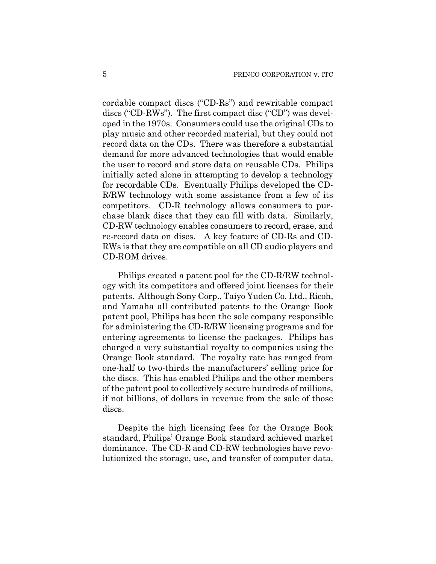cordable compact discs ("CD-Rs") and rewritable compact discs ("CD-RWs"). The first compact disc ("CD") was developed in the 1970s. Consumers could use the original CDs to play music and other recorded material, but they could not record data on the CDs. There was therefore a substantial demand for more advanced technologies that would enable the user to record and store data on reusable CDs. Philips initially acted alone in attempting to develop a technology for recordable CDs. Eventually Philips developed the CD-R/RW technology with some assistance from a few of its competitors. CD-R technology allows consumers to purchase blank discs that they can fill with data. Similarly, CD-RW technology enables consumers to record, erase, and re-record data on discs. A key feature of CD-Rs and CD-RWs is that they are compatible on all CD audio players and CD-ROM drives.

Philips created a patent pool for the CD-R/RW technology with its competitors and offered joint licenses for their patents. Although Sony Corp., Taiyo Yuden Co. Ltd., Ricoh, and Yamaha all contributed patents to the Orange Book patent pool, Philips has been the sole company responsible for administering the CD-R/RW licensing programs and for entering agreements to license the packages. Philips has charged a very substantial royalty to companies using the Orange Book standard. The royalty rate has ranged from one-half to two-thirds the manufacturers' selling price for the discs. This has enabled Philips and the other members of the patent pool to collectively secure hundreds of millions, if not billions, of dollars in revenue from the sale of those discs.

Despite the high licensing fees for the Orange Book standard, Philips' Orange Book standard achieved market dominance. The CD-R and CD-RW technologies have revolutionized the storage, use, and transfer of computer data,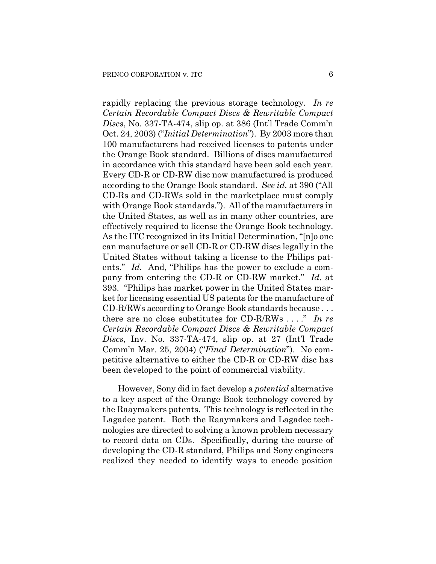rapidly replacing the previous storage technology. *In re Certain Recordable Compact Discs & Rewritable Compact Discs*, No. 337-TA-474, slip op. at 386 (Int'l Trade Comm'n Oct. 24, 2003) ("*Initial Determination*"). By 2003 more than 100 manufacturers had received licenses to patents under the Orange Book standard. Billions of discs manufactured in accordance with this standard have been sold each year. Every CD-R or CD-RW disc now manufactured is produced according to the Orange Book standard. *See id.* at 390 ("All CD-Rs and CD-RWs sold in the marketplace must comply with Orange Book standards."). All of the manufacturers in the United States, as well as in many other countries, are effectively required to license the Orange Book technology. As the ITC recognized in its Initial Determination, "[n]o one can manufacture or sell CD-R or CD-RW discs legally in the United States without taking a license to the Philips patents." *Id.* And, "Philips has the power to exclude a company from entering the CD-R or CD-RW market." *Id.* at 393. "Philips has market power in the United States market for licensing essential US patents for the manufacture of CD-R/RWs according to Orange Book standards because . . . there are no close substitutes for CD-R/RWs . . . ." *In re Certain Recordable Compact Discs & Rewritable Compact Discs*, Inv. No. 337-TA-474, slip op. at 27 (Int'l Trade Comm'n Mar. 25, 2004) ("*Final Determination*"). No competitive alternative to either the CD-R or CD-RW disc has been developed to the point of commercial viability.

However, Sony did in fact develop a *potential* alternative to a key aspect of the Orange Book technology covered by the Raaymakers patents. This technology is reflected in the Lagadec patent. Both the Raaymakers and Lagadec technologies are directed to solving a known problem necessary to record data on CDs. Specifically, during the course of developing the CD-R standard, Philips and Sony engineers realized they needed to identify ways to encode position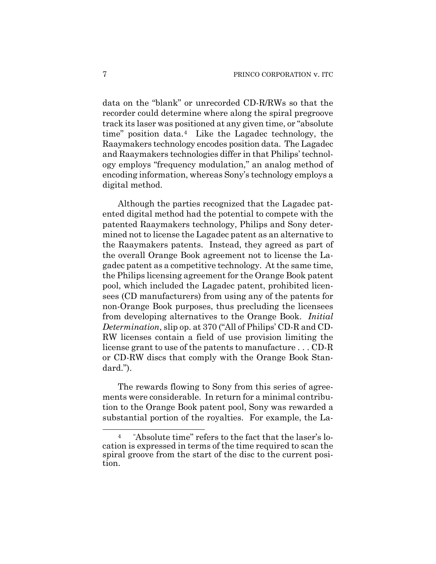data on the "blank" or unrecorded CD-R/RWs so that the recorder could determine where along the spiral pregroove track its laser was positioned at any given time, or "absolute time" position data.[4](#page-52-0) Like the Lagadec technology, the Raaymakers technology encodes position data. The Lagadec and Raaymakers technologies differ in that Philips' technology employs "frequency modulation," an analog method of encoding information, whereas Sony's technology employs a digital method.

Although the parties recognized that the Lagadec patented digital method had the potential to compete with the patented Raaymakers technology, Philips and Sony determined not to license the Lagadec patent as an alternative to the Raaymakers patents. Instead, they agreed as part of the overall Orange Book agreement not to license the Lagadec patent as a competitive technology. At the same time, the Philips licensing agreement for the Orange Book patent pool, which included the Lagadec patent, prohibited licensees (CD manufacturers) from using any of the patents for non-Orange Book purposes, thus precluding the licensees from developing alternatives to the Orange Book. *Initial Determination*, slip op. at 370 ("All of Philips' CD-R and CD-RW licenses contain a field of use provision limiting the license grant to use of the patents to manufacture . . . CD-R or CD-RW discs that comply with the Orange Book Standard.").

The rewards flowing to Sony from this series of agreements were considerable. In return for a minimal contribution to the Orange Book patent pool, Sony was rewarded a substantial portion of the royalties. For example, the La-

<span id="page-52-0"></span> $\overline{a}$ 4 "Absolute time" refers to the fact that the laser's location is expressed in terms of the time required to scan the spiral groove from the start of the disc to the current position.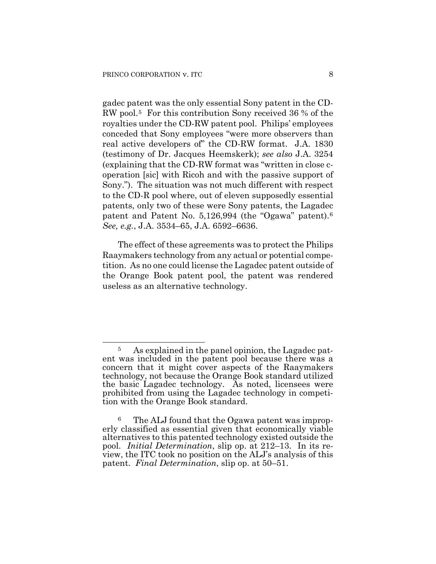$\overline{a}$ 

gadec patent was the only essential Sony patent in the CD-RW pool.[5](#page-53-0) For this contribution Sony received 36 % of the royalties under the CD-RW patent pool. Philips' employees conceded that Sony employees "were more observers than real active developers of" the CD-RW format. J.A. 1830 (testimony of Dr. Jacques Heemskerk); *see also* J.A. 3254 (explaining that the CD-RW format was "written in close coperation [sic] with Ricoh and with the passive support of Sony."). The situation was not much different with respect to the CD-R pool where, out of eleven supposedly essential patents, only two of these were Sony patents, the Lagadec patent and Patent No. 5,126,994 (the "Ogawa" patent).[6](#page-53-1) *See, e.g.*, J.A. 3534–65, J.A. 6592–6636.

The effect of these agreements was to protect the Philips Raaymakers technology from any actual or potential competition. As no one could license the Lagadec patent outside of the Orange Book patent pool, the patent was rendered useless as an alternative technology.

<span id="page-53-0"></span><sup>5</sup> As explained in the panel opinion, the Lagadec patent was included in the patent pool because there was a concern that it might cover aspects of the Raaymakers technology, not because the Orange Book standard utilized the basic Lagadec technology. As noted, licensees were prohibited from using the Lagadec technology in competition with the Orange Book standard.

<span id="page-53-1"></span>The ALJ found that the Ogawa patent was improperly classified as essential given that economically viable alternatives to this patented technology existed outside the pool. *Initial Determination*, slip op. at 212–13. In its review, the ITC took no position on the ALJ's analysis of this patent. *Final Determination*, slip op. at 50–51.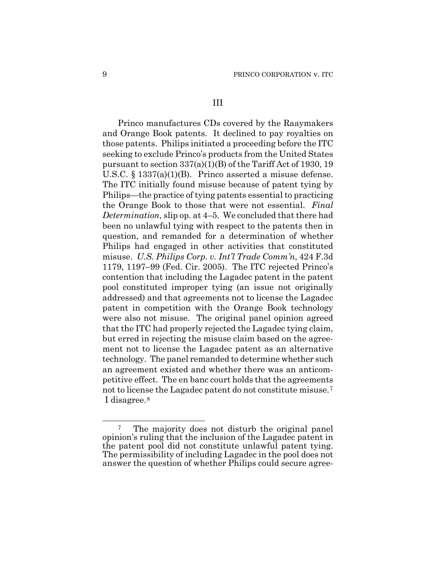### III

Princo manufactures CDs covered by the Raaymakers and Orange Book patents. It declined to pay royalties on those patents. Philips initiated a proceeding before the ITC seeking to exclude Princo's products from the United States pursuant to section 337(a)(1)(B) of the Tariff Act of 1930, 19 U.S.C. § 1337(a)(1)(B). Princo asserted a misuse defense. The ITC initially found misuse because of patent tying by Philips—the practice of tying patents essential to practicing the Orange Book to those that were not essential. *Final Determination*, slip op. at 4–5. We concluded that there had been no unlawful tying with respect to the patents then in question, and remanded for a determination of whether Philips had engaged in other activities that constituted misuse. *U.S. Philips Corp. v. Int'l Trade Comm'n*, 424 F.3d 1179, 1197–99 (Fed. Cir. 2005). The ITC rejected Princo's contention that including the Lagadec patent in the patent pool constituted improper tying (an issue not originally addressed) and that agreements not to license the Lagadec patent in competition with the Orange Book technology were also not misuse. The original panel opinion agreed that the ITC had properly rejected the Lagadec tying claim, but erred in rejecting the misuse claim based on the agreement not to license the Lagadec patent as an alternative technology. The panel remanded to determine whether such an agreement existed and whether there was an anticompetitive effect. The en banc court holds that the agreements not to license the Lagadec patent do not constitute misuse.[7](#page-54-0) I disagree.[8](#page-54-1)

 $\overline{a}$ 

<span id="page-54-1"></span><span id="page-54-0"></span><sup>&</sup>lt;sup>7</sup> The majority does not disturb the original panel opinion's ruling that the inclusion of the Lagadec patent in the patent pool did not constitute unlawful patent tying. The permissibility of including Lagadec in the pool does not answer the question of whether Philips could secure agree-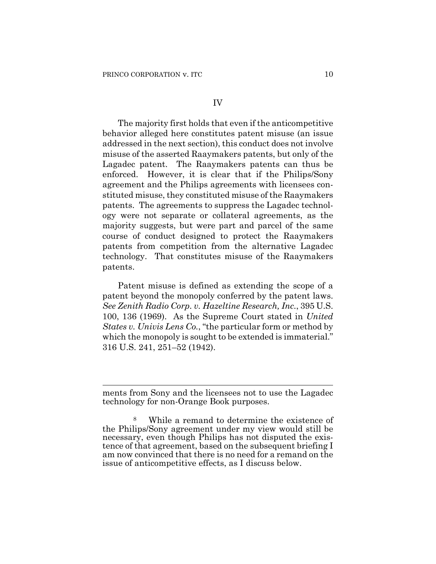1

#### IV

The majority first holds that even if the anticompetitive behavior alleged here constitutes patent misuse (an issue addressed in the next section), this conduct does not involve misuse of the asserted Raaymakers patents, but only of the Lagadec patent. The Raaymakers patents can thus be enforced. However, it is clear that if the Philips/Sony agreement and the Philips agreements with licensees constituted misuse, they constituted misuse of the Raaymakers patents. The agreements to suppress the Lagadec technology were not separate or collateral agreements, as the majority suggests, but were part and parcel of the same course of conduct designed to protect the Raaymakers patents from competition from the alternative Lagadec technology. That constitutes misuse of the Raaymakers patents.

Patent misuse is defined as extending the scope of a patent beyond the monopoly conferred by the patent laws. *See Zenith Radio Corp. v. Hazeltine Research, Inc.*, 395 U.S. 100, 136 (1969). As the Supreme Court stated in *United States v. Univis Lens Co.*, "the particular form or method by which the monopoly is sought to be extended is immaterial." 316 U.S. 241, 251–52 (1942).

ments from Sony and the licensees not to use the Lagadec technology for non-Orange Book purposes.

While a remand to determine the existence of the Philips/Sony agreement under my view would still be necessary, even though Philips has not disputed the existence of that agreement, based on the subsequent briefing I am now convinced that there is no need for a remand on the issue of anticompetitive effects, as I discuss below.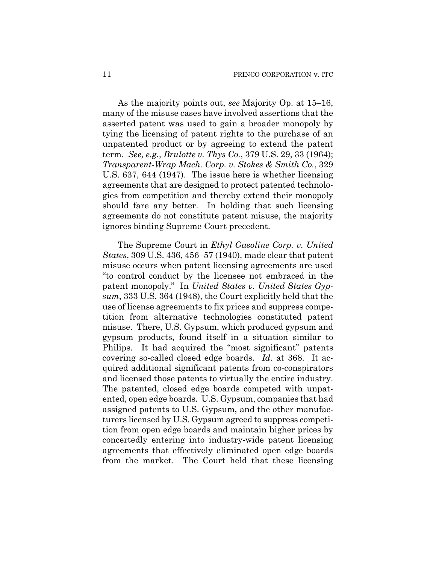As the majority points out, *see* Majority Op. at 15–16, many of the misuse cases have involved assertions that the asserted patent was used to gain a broader monopoly by tying the licensing of patent rights to the purchase of an unpatented product or by agreeing to extend the patent term. *See, e.g.*, *Brulotte v. Thys Co.*, 379 U.S. 29, 33 (1964); *Transparent-Wrap Mach. Corp. v. Stokes & Smith Co.*, 329 U.S. 637, 644 (1947). The issue here is whether licensing agreements that are designed to protect patented technologies from competition and thereby extend their monopoly should fare any better. In holding that such licensing agreements do not constitute patent misuse, the majority ignores binding Supreme Court precedent.

The Supreme Court in *Ethyl Gasoline Corp. v. United States*, 309 U.S. 436, 456–57 (1940), made clear that patent misuse occurs when patent licensing agreements are used "to control conduct by the licensee not embraced in the patent monopoly." In *United States v. United States Gypsum*, 333 U.S. 364 (1948), the Court explicitly held that the use of license agreements to fix prices and suppress competition from alternative technologies constituted patent misuse. There, U.S. Gypsum, which produced gypsum and gypsum products, found itself in a situation similar to Philips. It had acquired the "most significant" patents covering so-called closed edge boards. *Id.* at 368. It acquired additional significant patents from co-conspirators and licensed those patents to virtually the entire industry. The patented, closed edge boards competed with unpatented, open edge boards. U.S. Gypsum, companies that had assigned patents to U.S. Gypsum, and the other manufacturers licensed by U.S. Gypsum agreed to suppress competition from open edge boards and maintain higher prices by concertedly entering into industry-wide patent licensing agreements that effectively eliminated open edge boards from the market. The Court held that these licensing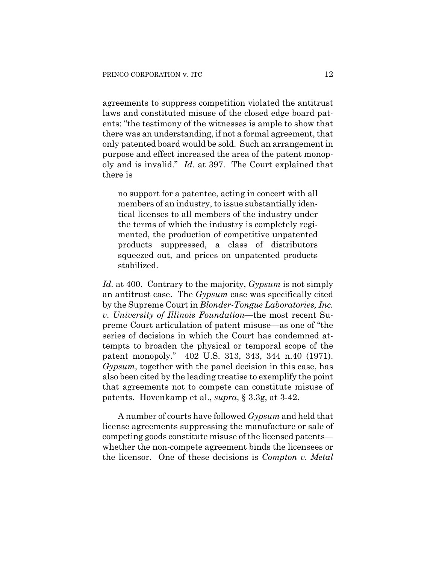agreements to suppress competition violated the antitrust laws and constituted misuse of the closed edge board patents: "the testimony of the witnesses is ample to show that there was an understanding, if not a formal agreement, that only patented board would be sold. Such an arrangement in purpose and effect increased the area of the patent monopoly and is invalid." *Id.* at 397. The Court explained that there is

no support for a patentee, acting in concert with all members of an industry, to issue substantially identical licenses to all members of the industry under the terms of which the industry is completely regimented, the production of competitive unpatented products suppressed, a class of distributors squeezed out, and prices on unpatented products stabilized.

*Id.* at 400. Contrary to the majority, *Gypsum* is not simply an antitrust case. The *Gypsum* case was specifically cited by the Supreme Court in *Blonder-Tongue Laboratories, Inc. v. University of Illinois Foundation*—the most recent Supreme Court articulation of patent misuse—as one of "the series of decisions in which the Court has condemned attempts to broaden the physical or temporal scope of the patent monopoly." 402 U.S. 313, 343, 344 n.40 (1971). *Gypsum*, together with the panel decision in this case, has also been cited by the leading treatise to exemplify the point that agreements not to compete can constitute misuse of patents. Hovenkamp et al., *supra*, § 3.3g, at 3-42.

A number of courts have followed *Gypsum* and held that license agreements suppressing the manufacture or sale of competing goods constitute misuse of the licensed patents whether the non-compete agreement binds the licensees or the licensor. One of these decisions is *Compton v. Metal*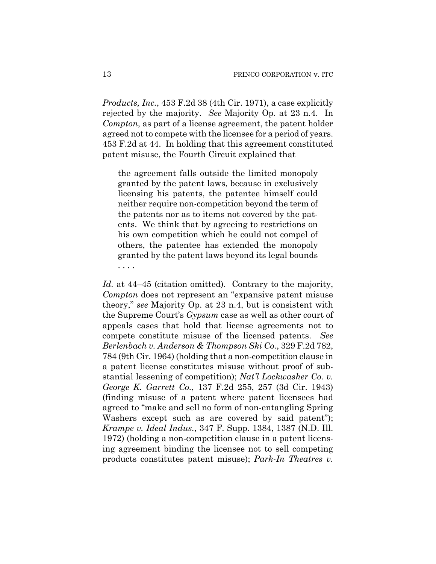*Products, Inc.*, 453 F.2d 38 (4th Cir. 1971), a case explicitly rejected by the majority. *See* Majority Op. at 23 n.4. In *Compton*, as part of a license agreement, the patent holder agreed not to compete with the licensee for a period of years. 453 F.2d at 44. In holding that this agreement constituted patent misuse, the Fourth Circuit explained that

the agreement falls outside the limited monopoly granted by the patent laws, because in exclusively licensing his patents, the patentee himself could neither require non-competition beyond the term of the patents nor as to items not covered by the patents. We think that by agreeing to restrictions on his own competition which he could not compel of others, the patentee has extended the monopoly granted by the patent laws beyond its legal bounds . . . .

*Id.* at 44–45 (citation omitted). Contrary to the majority, *Compton* does not represent an "expansive patent misuse theory," *see* Majority Op. at 23 n.4, but is consistent with the Supreme Court's *Gypsum* case as well as other court of appeals cases that hold that license agreements not to compete constitute misuse of the licensed patents. *See Berlenbach v. Anderson & Thompson Ski Co.*, 329 F.2d 782, 784 (9th Cir. 1964) (holding that a non-competition clause in a patent license constitutes misuse without proof of substantial lessening of competition); *Nat'l Lockwasher Co. v. George K. Garrett Co.*, 137 F.2d 255, 257 (3d Cir. 1943) (finding misuse of a patent where patent licensees had agreed to "make and sell no form of non-entangling Spring Washers except such as are covered by said patent"); *Krampe v. Ideal Indus.*, 347 F. Supp. 1384, 1387 (N.D. Ill. 1972) (holding a non-competition clause in a patent licensing agreement binding the licensee not to sell competing products constitutes patent misuse); *Park-In Theatres v.*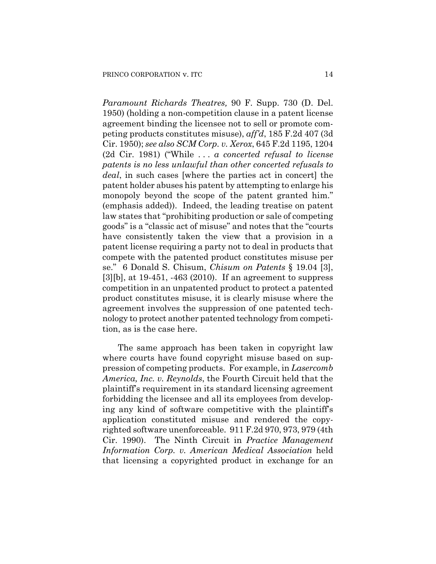*Paramount Richards Theatres,* 90 F. Supp. 730 (D. Del. 1950) (holding a non-competition clause in a patent license agreement binding the licensee not to sell or promote competing products constitutes misuse), *aff'd*, 185 F.2d 407 (3d Cir. 1950); *see also SCM Corp. v. Xerox*, 645 F.2d 1195, 1204 (2d Cir. 1981) ("While . . . *a concerted refusal to license patents is no less unlawful than other concerted refusals to deal*, in such cases [where the parties act in concert] the patent holder abuses his patent by attempting to enlarge his monopoly beyond the scope of the patent granted him." (emphasis added)). Indeed, the leading treatise on patent law states that "prohibiting production or sale of competing goods" is a "classic act of misuse" and notes that the "courts have consistently taken the view that a provision in a patent license requiring a party not to deal in products that compete with the patented product constitutes misuse per se." 6 Donald S. Chisum, *Chisum on Patents* § 19.04 [3], [3][b], at 19-451, -463 (2010). If an agreement to suppress competition in an unpatented product to protect a patented product constitutes misuse, it is clearly misuse where the agreement involves the suppression of one patented technology to protect another patented technology from competition, as is the case here.

The same approach has been taken in copyright law where courts have found copyright misuse based on suppression of competing products. For example, in *Lasercomb America, Inc. v. Reynolds*, the Fourth Circuit held that the plaintiff's requirement in its standard licensing agreement forbidding the licensee and all its employees from developing any kind of software competitive with the plaintiff's application constituted misuse and rendered the copyrighted software unenforceable. 911 F.2d 970, 973, 979 (4th Cir. 1990). The Ninth Circuit in *Practice Management Information Corp. v. American Medical Association* held that licensing a copyrighted product in exchange for an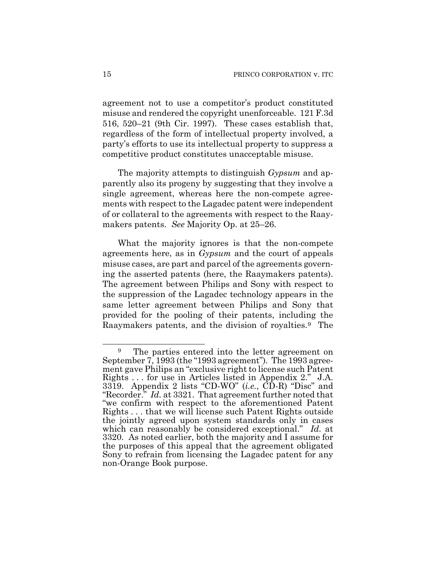agreement not to use a competitor's product constituted misuse and rendered the copyright unenforceable. 121 F.3d 516, 520–21 (9th Cir. 1997). These cases establish that, regardless of the form of intellectual property involved, a party's efforts to use its intellectual property to suppress a competitive product constitutes unacceptable misuse.

The majority attempts to distinguish *Gypsum* and apparently also its progeny by suggesting that they involve a single agreement, whereas here the non-compete agreements with respect to the Lagadec patent were independent of or collateral to the agreements with respect to the Raaymakers patents. *See* Majority Op. at 25–26.

What the majority ignores is that the non-compete agreements here, as in *Gypsum* and the court of appeals misuse cases, are part and parcel of the agreements governing the asserted patents (here, the Raaymakers patents). The agreement between Philips and Sony with respect to the suppression of the Lagadec technology appears in the same letter agreement between Philips and Sony that provided for the pooling of their patents, including the Raaymakers patents, and the division of royalties.[9](#page-60-0) The

 $\overline{a}$ 

<span id="page-60-0"></span><sup>&</sup>lt;sup>9</sup> The parties entered into the letter agreement on September 7, 1993 (the "1993 agreement"). The 1993 agreement gave Philips an "exclusive right to license such Patent Rights . . . for use in Articles listed in Appendix 2." J.A. 3319. Appendix 2 lists "CD-WO" (*i.e.*, CD-R) "Disc" and "Recorder." *Id.* at 3321. That agreement further noted that "we confirm with respect to the aforementioned Patent Rights . . . that we will license such Patent Rights outside the jointly agreed upon system standards only in cases which can reasonably be considered exceptional." *Id.* at 3320. As noted earlier, both the majority and I assume for the purposes of this appeal that the agreement obligated Sony to refrain from licensing the Lagadec patent for any non-Orange Book purpose.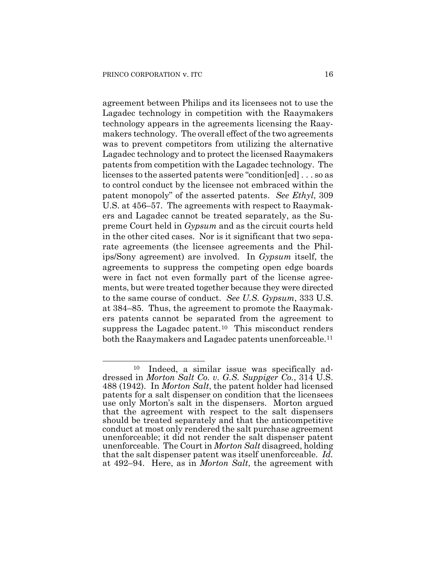agreement between Philips and its licensees not to use the Lagadec technology in competition with the Raaymakers technology appears in the agreements licensing the Raaymakers technology. The overall effect of the two agreements was to prevent competitors from utilizing the alternative Lagadec technology and to protect the licensed Raaymakers patents from competition with the Lagadec technology. The licenses to the asserted patents were "condition[ed] . . . so as to control conduct by the licensee not embraced within the patent monopoly" of the asserted patents. *See Ethyl*, 309 U.S. at 456–57. The agreements with respect to Raaymakers and Lagadec cannot be treated separately, as the Supreme Court held in *Gypsum* and as the circuit courts held in the other cited cases. Nor is it significant that two separate agreements (the licensee agreements and the Philips/Sony agreement) are involved. In *Gypsum* itself, the agreements to suppress the competing open edge boards were in fact not even formally part of the license agreements, but were treated together because they were directed to the same course of conduct. *See U.S. Gypsum*, 333 U.S. at 384–85. Thus, the agreement to promote the Raaymakers patents cannot be separated from the agreement to suppress the Lagadec patent.<sup>[10](#page-61-0)</sup> This misconduct renders both the Raaymakers and Lagadec patents unenforceable.<sup>[11](#page-61-1)</sup>

<span id="page-61-1"></span><span id="page-61-0"></span> $\overline{a}$ 10 Indeed, a similar issue was specifically addressed in *Morton Salt Co. v. G.S. Suppiger Co.*, 314 U.S. 488 (1942). In *Morton Salt*, the patent holder had licensed patents for a salt dispenser on condition that the licensees use only Morton's salt in the dispensers. Morton argued that the agreement with respect to the salt dispensers should be treated separately and that the anticompetitive conduct at most only rendered the salt purchase agreement unenforceable; it did not render the salt dispenser patent unenforceable. The Court in *Morton Salt* disagreed, holding that the salt dispenser patent was itself unenforceable. *Id.* at 492–94. Here, as in *Morton Salt*, the agreement with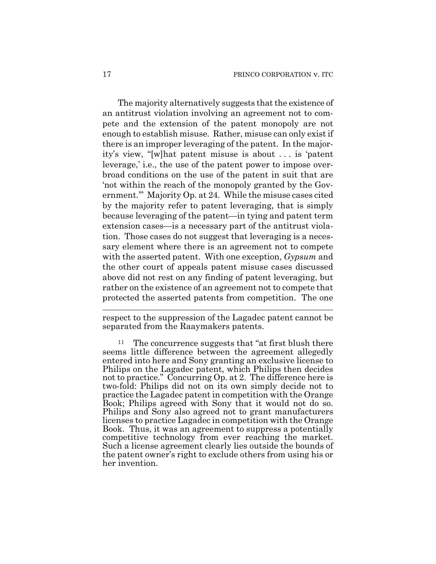The majority alternatively suggests that the existence of an antitrust violation involving an agreement not to compete and the extension of the patent monopoly are not enough to establish misuse. Rather, misuse can only exist if there is an improper leveraging of the patent. In the majority's view, "[w]hat patent misuse is about . . . is 'patent leverage,' i.e., the use of the patent power to impose overbroad conditions on the use of the patent in suit that are 'not within the reach of the monopoly granted by the Government.'" Majority Op. at 24. While the misuse cases cited by the majority refer to patent leveraging, that is simply because leveraging of the patent—in tying and patent term extension cases—is a necessary part of the antitrust violation. Those cases do not suggest that leveraging is a necessary element where there is an agreement not to compete with the asserted patent. With one exception, *Gypsum* and the other court of appeals patent misuse cases discussed above did not rest on any finding of patent leveraging, but rather on the existence of an agreement not to compete that protected the asserted patents from competition. The one

 $\overline{a}$ 

respect to the suppression of the Lagadec patent cannot be separated from the Raaymakers patents.

<sup>11</sup> The concurrence suggests that "at first blush there seems little difference between the agreement allegedly entered into here and Sony granting an exclusive license to Philips on the Lagadec patent, which Philips then decides not to practice." Concurring Op. at 2. The difference here is two-fold: Philips did not on its own simply decide not to practice the Lagadec patent in competition with the Orange Book; Philips agreed with Sony that it would not do so. Philips and Sony also agreed not to grant manufacturers licenses to practice Lagadec in competition with the Orange Book. Thus, it was an agreement to suppress a potentially competitive technology from ever reaching the market. Such a license agreement clearly lies outside the bounds of the patent owner's right to exclude others from using his or her invention.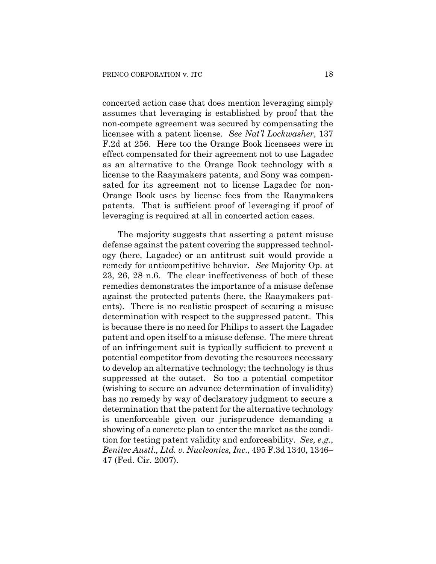concerted action case that does mention leveraging simply assumes that leveraging is established by proof that the non-compete agreement was secured by compensating the licensee with a patent license. *See Nat'l Lockwasher*, 137 F.2d at 256. Here too the Orange Book licensees were in effect compensated for their agreement not to use Lagadec as an alternative to the Orange Book technology with a license to the Raaymakers patents, and Sony was compensated for its agreement not to license Lagadec for non-Orange Book uses by license fees from the Raaymakers patents. That is sufficient proof of leveraging if proof of leveraging is required at all in concerted action cases.

The majority suggests that asserting a patent misuse defense against the patent covering the suppressed technology (here, Lagadec) or an antitrust suit would provide a remedy for anticompetitive behavior. *See* Majority Op. at 23, 26, 28 n.6. The clear ineffectiveness of both of these remedies demonstrates the importance of a misuse defense against the protected patents (here, the Raaymakers patents). There is no realistic prospect of securing a misuse determination with respect to the suppressed patent. This is because there is no need for Philips to assert the Lagadec patent and open itself to a misuse defense. The mere threat of an infringement suit is typically sufficient to prevent a potential competitor from devoting the resources necessary to develop an alternative technology; the technology is thus suppressed at the outset. So too a potential competitor (wishing to secure an advance determination of invalidity) has no remedy by way of declaratory judgment to secure a determination that the patent for the alternative technology is unenforceable given our jurisprudence demanding a showing of a concrete plan to enter the market as the condition for testing patent validity and enforceability. *See, e.g.*, *Benitec Austl., Ltd. v. Nucleonics, Inc.*, 495 F.3d 1340, 1346– 47 (Fed. Cir. 2007).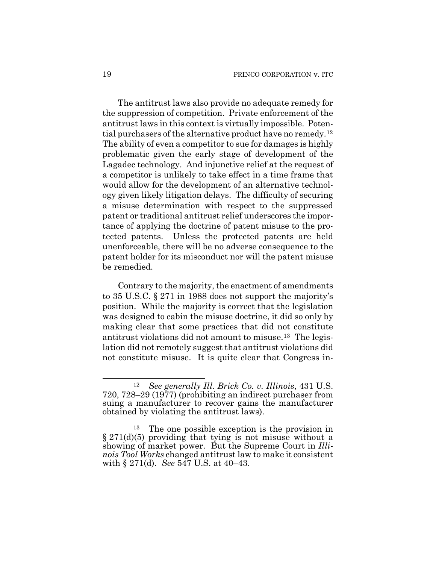The antitrust laws also provide no adequate remedy for the suppression of competition. Private enforcement of the antitrust laws in this context is virtually impossible. Potential purchasers of the alternative product have no remedy.[12](#page-64-0) The ability of even a competitor to sue for damages is highly problematic given the early stage of development of the Lagadec technology. And injunctive relief at the request of a competitor is unlikely to take effect in a time frame that would allow for the development of an alternative technology given likely litigation delays. The difficulty of securing a misuse determination with respect to the suppressed patent or traditional antitrust relief underscores the importance of applying the doctrine of patent misuse to the protected patents. Unless the protected patents are held unenforceable, there will be no adverse consequence to the patent holder for its misconduct nor will the patent misuse be remedied.

Contrary to the majority, the enactment of amendments to 35 U.S.C. § 271 in 1988 does not support the majority's position. While the majority is correct that the legislation was designed to cabin the misuse doctrine, it did so only by making clear that some practices that did not constitute antitrust violations did not amount to misuse.[13](#page-64-1) The legislation did not remotely suggest that antitrust violations did not constitute misuse. It is quite clear that Congress in-

 $\overline{a}$ 

<span id="page-64-0"></span><sup>12</sup> *See generally Ill. Brick Co. v. Illinois*, 431 U.S. 720, 728–29 (1977) (prohibiting an indirect purchaser from suing a manufacturer to recover gains the manufacturer obtained by violating the antitrust laws).

<span id="page-64-1"></span> <sup>13</sup> The one possible exception is the provision in § 271(d)(5) providing that tying is not misuse without a showing of market power. But the Supreme Court in *Illinois Tool Works* changed antitrust law to make it consistent with § 271(d). *See* 547 U.S. at 40–43.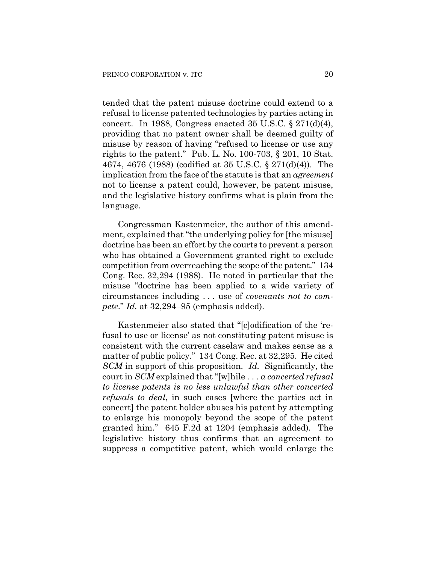tended that the patent misuse doctrine could extend to a refusal to license patented technologies by parties acting in concert. In 1988, Congress enacted 35 U.S.C.  $\S 271(d)(4)$ , providing that no patent owner shall be deemed guilty of misuse by reason of having "refused to license or use any rights to the patent." Pub. L. No. 100-703, § 201, 10 Stat. 4674, 4676 (1988) (codified at 35 U.S.C. § 271(d)(4)). The implication from the face of the statute is that an *agreement* not to license a patent could, however, be patent misuse, and the legislative history confirms what is plain from the language.

Congressman Kastenmeier, the author of this amendment, explained that "the underlying policy for [the misuse] doctrine has been an effort by the courts to prevent a person who has obtained a Government granted right to exclude competition from overreaching the scope of the patent." 134 Cong. Rec. 32,294 (1988). He noted in particular that the misuse "doctrine has been applied to a wide variety of circumstances including . . . use of *covenants not to compete*." *Id.* at 32,294–95 (emphasis added).

Kastenmeier also stated that "[c]odification of the 'refusal to use or license' as not constituting patent misuse is consistent with the current caselaw and makes sense as a matter of public policy." 134 Cong. Rec. at 32,295. He cited *SCM* in support of this proposition. *Id.* Significantly, the court in *SCM* explained that "[w]hile . . . *a concerted refusal to license patents is no less unlawful than other concerted refusals to deal*, in such cases [where the parties act in concert] the patent holder abuses his patent by attempting to enlarge his monopoly beyond the scope of the patent granted him." 645 F.2d at 1204 (emphasis added). The legislative history thus confirms that an agreement to suppress a competitive patent, which would enlarge the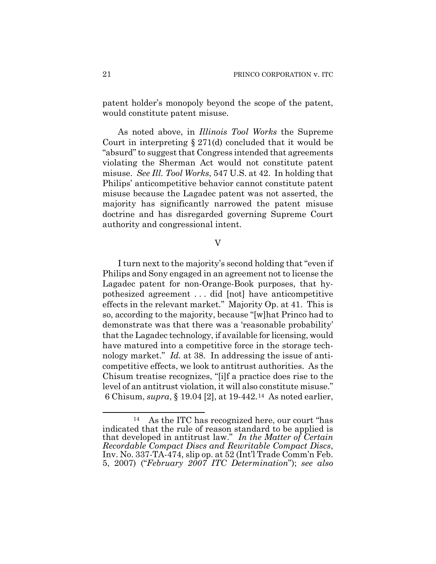patent holder's monopoly beyond the scope of the patent, would constitute patent misuse.

As noted above, in *Illinois Tool Works* the Supreme Court in interpreting  $\S 271(d)$  concluded that it would be "absurd" to suggest that Congress intended that agreements violating the Sherman Act would not constitute patent misuse. *See Ill. Tool Works*, 547 U.S. at 42. In holding that Philips' anticompetitive behavior cannot constitute patent misuse because the Lagadec patent was not asserted, the majority has significantly narrowed the patent misuse doctrine and has disregarded governing Supreme Court authority and congressional intent.

### V

I turn next to the majority's second holding that "even if Philips and Sony engaged in an agreement not to license the Lagadec patent for non-Orange-Book purposes, that hypothesized agreement . . . did [not] have anticompetitive effects in the relevant market." Majority Op. at 41. This is so, according to the majority, because "[w]hat Princo had to demonstrate was that there was a 'reasonable probability' that the Lagadec technology, if available for licensing, would have matured into a competitive force in the storage technology market." *Id.* at 38. In addressing the issue of anticompetitive effects, we look to antitrust authorities. As the Chisum treatise recognizes, "[i]f a practice does rise to the level of an antitrust violation, it will also constitute misuse." 6 Chisum, *supra*, § 19.04 [2], at 19-442.[14](#page-66-0) As noted earlier,

 $\overline{a}$ 

<span id="page-66-0"></span><sup>14</sup> As the ITC has recognized here, our court "has indicated that the rule of reason standard to be applied is that developed in antitrust law." *In the Matter of Certain Recordable Compact Discs and Rewritable Compact Discs*, Inv. No. 337-TA-474, slip op. at 52 (Int'l Trade Comm'n Feb. 5, 2007) ("*February 2007 ITC Determination*"); *see also*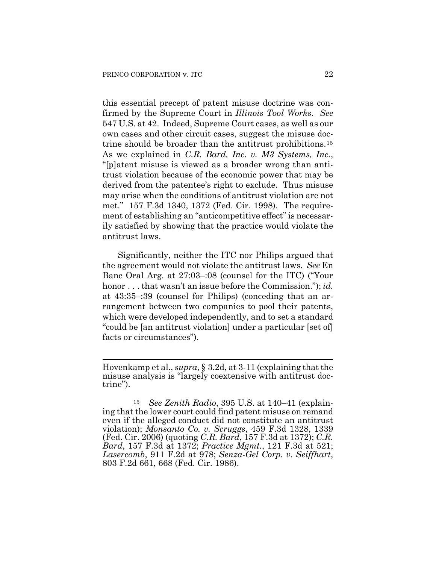$\overline{a}$ 

this essential precept of patent misuse doctrine was confirmed by the Supreme Court in *Illinois Tool Works*. *See* 547 U.S. at 42. Indeed, Supreme Court cases, as well as our own cases and other circuit cases, suggest the misuse doctrine should be broader than the antitrust prohibitions.[15](#page-67-0) As we explained in *C.R. Bard, Inc. v. M3 Systems, Inc.*, "[p]atent misuse is viewed as a broader wrong than antitrust violation because of the economic power that may be derived from the patentee's right to exclude. Thus misuse may arise when the conditions of antitrust violation are not met." 157 F.3d 1340, 1372 (Fed. Cir. 1998). The requirement of establishing an "anticompetitive effect" is necessarily satisfied by showing that the practice would violate the antitrust laws.

Significantly, neither the ITC nor Philips argued that the agreement would not violate the antitrust laws. *See* En Banc Oral Arg. at 27:03–:08 (counsel for the ITC) ("Your honor . . . that wasn't an issue before the Commission."); *id.* at 43:35–:39 (counsel for Philips) (conceding that an arrangement between two companies to pool their patents, which were developed independently, and to set a standard "could be [an antitrust violation] under a particular [set of] facts or circumstances").

Hovenkamp et al., *supra*, § 3.2d, at 3-11 (explaining that the misuse analysis is "largely coextensive with antitrust doctrine").

<span id="page-67-0"></span><sup>15</sup> *See Zenith Radio*, 395 U.S. at 140–41 (explaining that the lower court could find patent misuse on remand even if the alleged conduct did not constitute an antitrust violation); *Monsanto Co. v. Scruggs*, 459 F.3d 1328, 1339 (Fed. Cir. 2006) (quoting *C.R. Bard*, 157 F.3d at 1372); *C.R. Bard*, 157 F.3d at 1372; *Practice Mgmt.*, 121 F.3d at 521; *Lasercomb*, 911 F.2d at 978; *Senza-Gel Corp. v. Seiffhart*, 803 F.2d 661, 668 (Fed. Cir. 1986).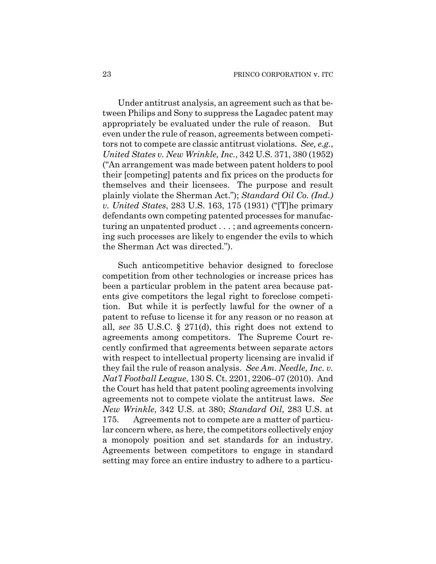Under antitrust analysis, an agreement such as that between Philips and Sony to suppress the Lagadec patent may appropriately be evaluated under the rule of reason. But even under the rule of reason, agreements between competitors not to compete are classic antitrust violations. *See, e.g.*, *United States v. New Wrinkle, Inc.*, 342 U.S. 371, 380 (1952) ("An arrangement was made between patent holders to pool their [competing] patents and fix prices on the products for themselves and their licensees. The purpose and result plainly violate the Sherman Act."); *Standard Oil Co. (Ind.) v. United States*, 283 U.S. 163, 175 (1931) ("[T]he primary defendants own competing patented processes for manufacturing an unpatented product . . . ; and agreements concerning such processes are likely to engender the evils to which the Sherman Act was directed.").

Such anticompetitive behavior designed to foreclose competition from other technologies or increase prices has been a particular problem in the patent area because patents give competitors the legal right to foreclose competition. But while it is perfectly lawful for the owner of a patent to refuse to license it for any reason or no reason at all, *see* 35 U.S.C. § 271(d), this right does not extend to agreements among competitors. The Supreme Court recently confirmed that agreements between separate actors with respect to intellectual property licensing are invalid if they fail the rule of reason analysis. *See Am. Needle, Inc. v. Nat'l Football League*, 130 S. Ct. 2201, 2206–07 (2010). And the Court has held that patent pooling agreements involving agreements not to compete violate the antitrust laws. *See New Wrinkle*, 342 U.S. at 380; *Standard Oil*, 283 U.S. at 175. Agreements not to compete are a matter of particular concern where, as here, the competitors collectively enjoy a monopoly position and set standards for an industry. Agreements between competitors to engage in standard setting may force an entire industry to adhere to a particu-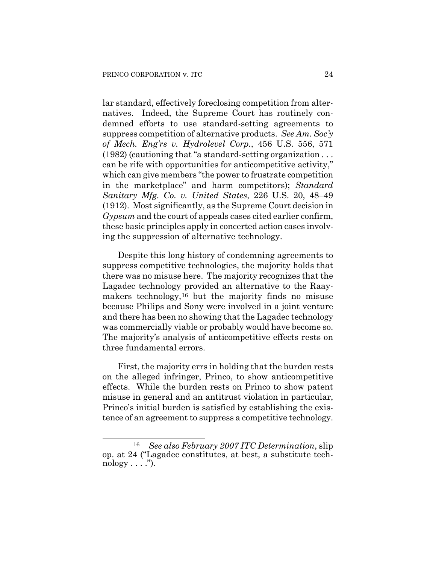lar standard, effectively foreclosing competition from alternatives. Indeed, the Supreme Court has routinely condemned efforts to use standard-setting agreements to suppress competition of alternative products. *See Am. Soc'y of Mech. Eng'rs v. Hydrolevel Corp.*, 456 U.S. 556, 571 (1982) (cautioning that "a standard-setting organization . . . can be rife with opportunities for anticompetitive activity," which can give members "the power to frustrate competition in the marketplace" and harm competitors); *Standard Sanitary Mfg. Co. v. United States*, 226 U.S. 20, 48–49 (1912). Most significantly, as the Supreme Court decision in *Gypsum* and the court of appeals cases cited earlier confirm, these basic principles apply in concerted action cases involving the suppression of alternative technology.

Despite this long history of condemning agreements to suppress competitive technologies, the majority holds that there was no misuse here. The majority recognizes that the Lagadec technology provided an alternative to the Raaymakers technology,[16](#page-69-0) but the majority finds no misuse because Philips and Sony were involved in a joint venture and there has been no showing that the Lagadec technology was commercially viable or probably would have become so. The majority's analysis of anticompetitive effects rests on three fundamental errors.

First, the majority errs in holding that the burden rests on the alleged infringer, Princo, to show anticompetitive effects. While the burden rests on Princo to show patent misuse in general and an antitrust violation in particular, Princo's initial burden is satisfied by establishing the existence of an agreement to suppress a competitive technology.

 $\overline{a}$ 

<span id="page-69-0"></span><sup>16</sup>*See also February 2007 ITC Determination*, slip op. at 24 ("Lagadec constitutes, at best, a substitute tech $nology \ldots$ ").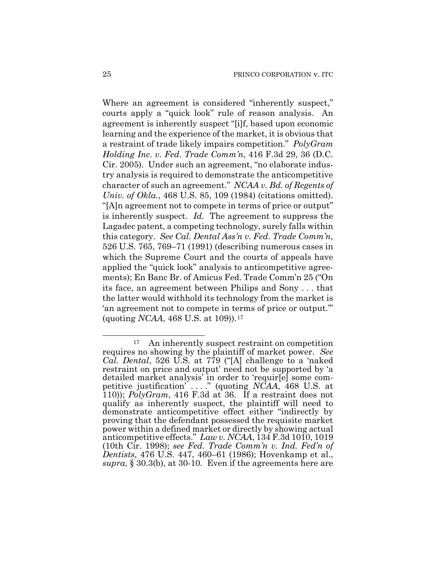Where an agreement is considered "inherently suspect," courts apply a "quick look" rule of reason analysis. An agreement is inherently suspect "[i]f, based upon economic learning and the experience of the market, it is obvious that a restraint of trade likely impairs competition." *PolyGram Holding Inc. v. Fed. Trade Comm'n*, 416 F.3d 29, 36 (D.C. Cir. 2005). Under such an agreement, "no elaborate industry analysis is required to demonstrate the anticompetitive character of such an agreement." *NCAA v. Bd. of Regents of Univ. of Okla.*, 468 U.S. 85, 109 (1984) (citations omitted). "[A]n agreement not to compete in terms of price or output" is inherently suspect. *Id.* The agreement to suppress the Lagadec patent, a competing technology, surely falls within this category. *See Cal. Dental Ass'n v. Fed. Trade Comm'n*, 526 U.S. 765, 769–71 (1991) (describing numerous cases in which the Supreme Court and the courts of appeals have applied the "quick look" analysis to anticompetitive agreements); En Banc Br. of Amicus Fed. Trade Comm'n 25 ("On its face, an agreement between Philips and Sony . . . that the latter would withhold its technology from the market is 'an agreement not to compete in terms of price or output.'" (quoting *NCAA*, 468 U.S. at 109)).[17](#page-70-0)

<span id="page-70-0"></span> $\overline{a}$ <sup>17</sup> An inherently suspect restraint on competition requires no showing by the plaintiff of market power. *See Cal. Dental*, 526 U.S. at 779 ("[A] challenge to a 'naked restraint on price and output' need not be supported by 'a detailed market analysis' in order to 'requir[e] some competitive justification' . . . ." (quoting *NCAA*, 468 U.S. at 110)); *PolyGram*, 416 F.3d at 36. If a restraint does not qualify as inherently suspect, the plaintiff will need to demonstrate anticompetitive effect either "indirectly by proving that the defendant possessed the requisite market power within a defined market or directly by showing actual anticompetitive effects." *Law v. NCAA*, 134 F.3d 1010, 1019 (10th Cir. 1998); *see Fed. Trade Comm'n v. Ind. Fed'n of Dentists*, 476 U.S. 447, 460–61 (1986); Hovenkamp et al., *supra*, § 30.3(b), at 30-10. Even if the agreements here are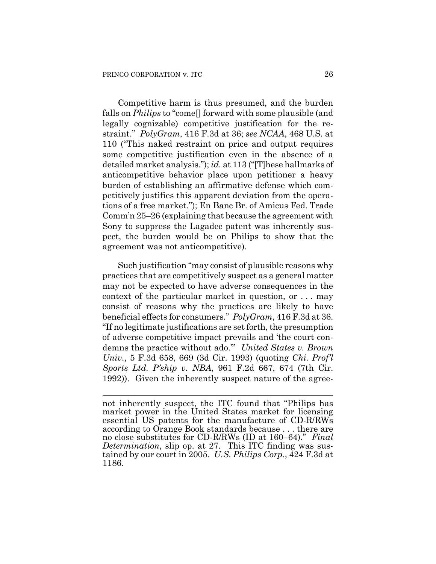$\overline{a}$ 

Competitive harm is thus presumed, and the burden falls on *Philips* to "come[] forward with some plausible (and legally cognizable) competitive justification for the restraint." *PolyGram*, 416 F.3d at 36; *see NCAA*, 468 U.S. at 110 ("This naked restraint on price and output requires some competitive justification even in the absence of a detailed market analysis."); *id.* at 113 ("[T]hese hallmarks of anticompetitive behavior place upon petitioner a heavy burden of establishing an affirmative defense which competitively justifies this apparent deviation from the operations of a free market."); En Banc Br. of Amicus Fed. Trade Comm'n 25–26 (explaining that because the agreement with Sony to suppress the Lagadec patent was inherently suspect, the burden would be on Philips to show that the agreement was not anticompetitive).

Such justification "may consist of plausible reasons why practices that are competitively suspect as a general matter may not be expected to have adverse consequences in the context of the particular market in question, or . . . may consist of reasons why the practices are likely to have beneficial effects for consumers." *PolyGram*, 416 F.3d at 36. "If no legitimate justifications are set forth, the presumption of adverse competitive impact prevails and 'the court condemns the practice without ado.'" *United States v. Brown Univ.*, 5 F.3d 658, 669 (3d Cir. 1993) (quoting *Chi. Prof'l Sports Ltd. P'ship v. NBA*, 961 F.2d 667, 674 (7th Cir. 1992)). Given the inherently suspect nature of the agree-

not inherently suspect, the ITC found that "Philips has market power in the United States market for licensing essential US patents for the manufacture of CD-R/RWs according to Orange Book standards because . . . there are no close substitutes for CD-R/RWs (ID at 160–64)." *Final Determination*, slip op. at 27. This ITC finding was sustained by our court in 2005. *U.S. Philips Corp.*, 424 F.3d at 1186.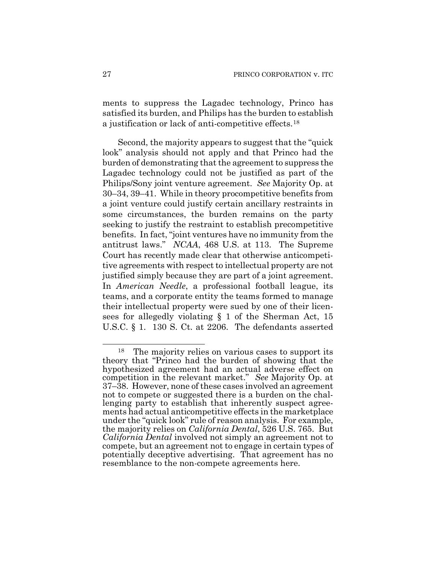ments to suppress the Lagadec technology, Princo has satisfied its burden, and Philips has the burden to establish a justification or lack of anti-competitive effects.[18](#page-72-0)

Second, the majority appears to suggest that the "quick look" analysis should not apply and that Princo had the burden of demonstrating that the agreement to suppress the Lagadec technology could not be justified as part of the Philips/Sony joint venture agreement. *See* Majority Op. at 30–34, 39–41. While in theory procompetitive benefits from a joint venture could justify certain ancillary restraints in some circumstances, the burden remains on the party seeking to justify the restraint to establish precompetitive benefits. In fact, "joint ventures have no immunity from the antitrust laws." *NCAA*, 468 U.S. at 113. The Supreme Court has recently made clear that otherwise anticompetitive agreements with respect to intellectual property are not justified simply because they are part of a joint agreement. In *American Needle*, a professional football league, its teams, and a corporate entity the teams formed to manage their intellectual property were sued by one of their licensees for allegedly violating § 1 of the Sherman Act, 15 U.S.C. § 1. 130 S. Ct. at 2206. The defendants asserted

<u>.</u>

<span id="page-72-0"></span><sup>18</sup> The majority relies on various cases to support its theory that "Princo had the burden of showing that the hypothesized agreement had an actual adverse effect on competition in the relevant market." *See* Majority Op. at 37–38. However, none of these cases involved an agreement not to compete or suggested there is a burden on the challenging party to establish that inherently suspect agreements had actual anticompetitive effects in the marketplace under the "quick look" rule of reason analysis. For example, the majority relies on *California Dental*, 526 U.S. 765. But *California Dental* involved not simply an agreement not to compete, but an agreement not to engage in certain types of potentially deceptive advertising. That agreement has no resemblance to the non-compete agreements here.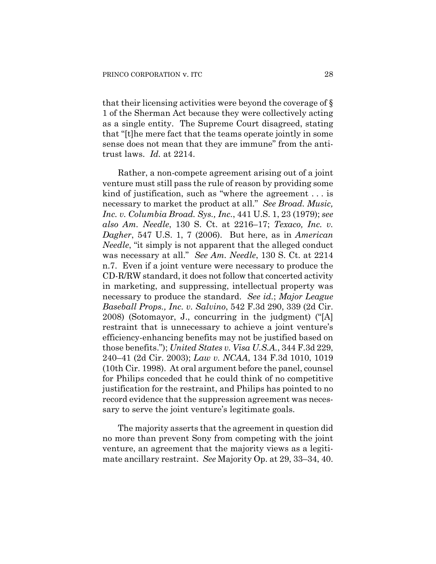that their licensing activities were beyond the coverage of § 1 of the Sherman Act because they were collectively acting as a single entity. The Supreme Court disagreed, stating that "[t]he mere fact that the teams operate jointly in some sense does not mean that they are immune" from the antitrust laws. *Id.* at 2214.

Rather, a non-compete agreement arising out of a joint venture must still pass the rule of reason by providing some kind of justification, such as "where the agreement . . . is necessary to market the product at all." *See Broad. Music, Inc. v. Columbia Broad. Sys., Inc.*, 441 U.S. 1, 23 (1979); *see also Am. Needle*, 130 S. Ct. at 2216–17; *Texaco, Inc. v. Dagher*, 547 U.S. 1, 7 (2006). But here, as in *American Needle*, "it simply is not apparent that the alleged conduct was necessary at all." *See Am. Needle*, 130 S. Ct. at 2214 n.7. Even if a joint venture were necessary to produce the CD-R/RW standard, it does not follow that concerted activity in marketing, and suppressing, intellectual property was necessary to produce the standard. *See id.*; *Major League Baseball Props., Inc. v. Salvino*, 542 F.3d 290, 339 (2d Cir. 2008) (Sotomayor, J., concurring in the judgment) ("[A] restraint that is unnecessary to achieve a joint venture's efficiency-enhancing benefits may not be justified based on those benefits."); *United States v. Visa U.S.A.*, 344 F.3d 229, 240–41 (2d Cir. 2003); *Law v. NCAA*, 134 F.3d 1010, 1019 (10th Cir. 1998). At oral argument before the panel, counsel for Philips conceded that he could think of no competitive justification for the restraint, and Philips has pointed to no record evidence that the suppression agreement was necessary to serve the joint venture's legitimate goals.

The majority asserts that the agreement in question did no more than prevent Sony from competing with the joint venture, an agreement that the majority views as a legitimate ancillary restraint. *See* Majority Op. at 29, 33–34, 40.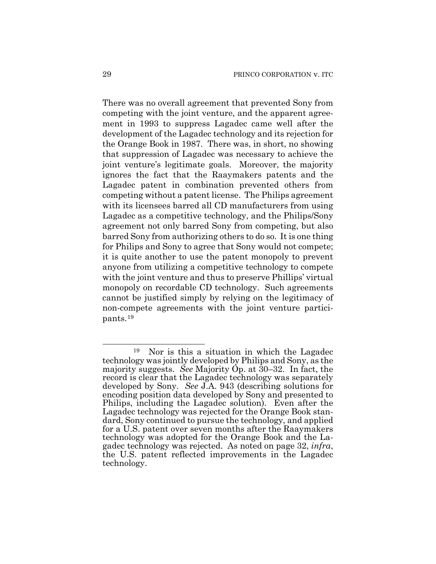There was no overall agreement that prevented Sony from competing with the joint venture, and the apparent agreement in 1993 to suppress Lagadec came well after the development of the Lagadec technology and its rejection for the Orange Book in 1987. There was, in short, no showing that suppression of Lagadec was necessary to achieve the joint venture's legitimate goals. Moreover, the majority ignores the fact that the Raaymakers patents and the Lagadec patent in combination prevented others from competing without a patent license. The Philips agreement with its licensees barred all CD manufacturers from using Lagadec as a competitive technology, and the Philips/Sony agreement not only barred Sony from competing, but also barred Sony from authorizing others to do so. It is one thing for Philips and Sony to agree that Sony would not compete; it is quite another to use the patent monopoly to prevent anyone from utilizing a competitive technology to compete with the joint venture and thus to preserve Phillips' virtual monopoly on recordable CD technology. Such agreements cannot be justified simply by relying on the legitimacy of non-compete agreements with the joint venture participants.[19](#page-74-0)

 $\overline{a}$ 

<span id="page-74-0"></span><sup>19</sup> Nor is this a situation in which the Lagadec technology was jointly developed by Philips and Sony, as the majority suggests. *See* Majority Op. at 30–32. In fact, the record is clear that the Lagadec technology was separately developed by Sony. *See* J.A. 943 (describing solutions for encoding position data developed by Sony and presented to Philips, including the Lagadec solution). Even after the Lagadec technology was rejected for the Orange Book standard, Sony continued to pursue the technology, and applied for a U.S. patent over seven months after the Raaymakers technology was adopted for the Orange Book and the Lagadec technology was rejected. As noted on page 32, *infra*, the U.S. patent reflected improvements in the Lagadec technology.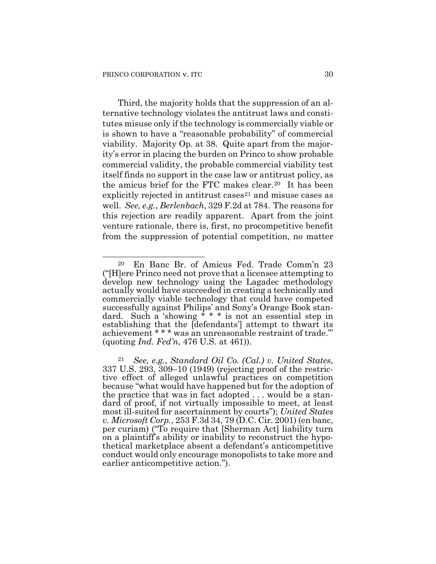$\overline{a}$ 

Third, the majority holds that the suppression of an alternative technology violates the antitrust laws and constitutes misuse only if the technology is commercially viable or is shown to have a "reasonable probability" of commercial viability. Majority Op. at 38. Quite apart from the majority's error in placing the burden on Princo to show probable commercial validity, the probable commercial viability test itself finds no support in the case law or antitrust policy, as the amicus brief for the FTC makes clear.[20](#page-75-0) It has been explicitly rejected in antitrust cases $21$  and misuse cases as well. *See, e.g.*, *Berlenbach*, 329 F.2d at 784. The reasons for this rejection are readily apparent. Apart from the joint venture rationale, there is, first, no procompetitive benefit from the suppression of potential competition, no matter

<span id="page-75-0"></span><sup>20</sup> En Banc Br. of Amicus Fed. Trade Comm'n 23 ("[H]ere Princo need not prove that a licensee attempting to develop new technology using the Lagadec methodology actually would have succeeded in creating a technically and commercially viable technology that could have competed successfully against Philips' and Sony's Orange Book standard. Such a 'showing \* \* \* is not an essential step in establishing that the [defendants'] attempt to thwart its achievement \* \* \* was an unreasonable restraint of trade.'" (quoting *Ind. Fed'n*, 476 U.S. at 461)).

<span id="page-75-1"></span><sup>21</sup> *See, e.g.*, *Standard Oil Co. (Cal.) v. United States*, 337 U.S. 293, 309–10 (1949) (rejecting proof of the restrictive effect of alleged unlawful practices on competition because "what would have happened but for the adoption of the practice that was in fact adopted . . . would be a standard of proof, if not virtually impossible to meet, at least most ill-suited for ascertainment by courts"); *United States v. Microsoft Corp.*, 253 F.3d 34, 79 (D.C. Cir. 2001) (en banc, per curiam) ("To require that [Sherman Act] liability turn on a plaintiff's ability or inability to reconstruct the hypothetical marketplace absent a defendant's anticompetitive conduct would only encourage monopolists to take more and earlier anticompetitive action.").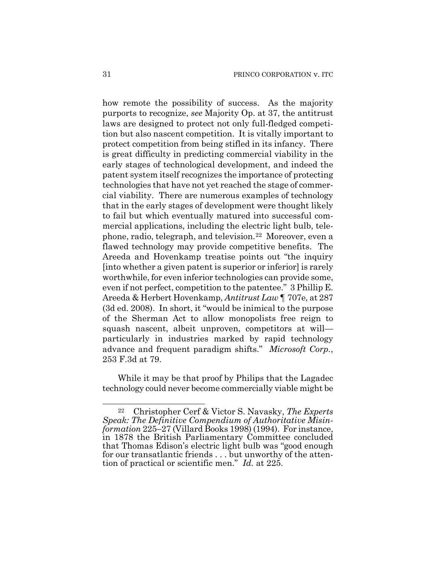how remote the possibility of success. As the majority purports to recognize, *see* Majority Op. at 37, the antitrust laws are designed to protect not only full-fledged competition but also nascent competition. It is vitally important to protect competition from being stifled in its infancy. There is great difficulty in predicting commercial viability in the early stages of technological development, and indeed the patent system itself recognizes the importance of protecting technologies that have not yet reached the stage of commercial viability. There are numerous examples of technology that in the early stages of development were thought likely to fail but which eventually matured into successful commercial applications, including the electric light bulb, telephone, radio, telegraph, and television.[22](#page-76-0) Moreover, even a flawed technology may provide competitive benefits. The Areeda and Hovenkamp treatise points out "the inquiry [into whether a given patent is superior or inferior] is rarely worthwhile, for even inferior technologies can provide some, even if not perfect, competition to the patentee." 3 Phillip E. Areeda & Herbert Hovenkamp, *Antitrust Law* ¶ 707e, at 287 (3d ed. 2008). In short, it "would be inimical to the purpose of the Sherman Act to allow monopolists free reign to squash nascent, albeit unproven, competitors at will particularly in industries marked by rapid technology advance and frequent paradigm shifts." *Microsoft Corp.*, 253 F.3d at 79.

While it may be that proof by Philips that the Lagadec technology could never become commercially viable might be

 $\overline{a}$ 

<span id="page-76-0"></span><sup>22</sup> Christopher Cerf & Victor S. Navasky, *The Experts Speak: The Definitive Compendium of Authoritative Misinformation* 225–27 (Villard Books 1998) (1994). For instance, in 1878 the British Parliamentary Committee concluded that Thomas Edison's electric light bulb was "good enough for our transatlantic friends . . . but unworthy of the attention of practical or scientific men." *Id.* at 225.